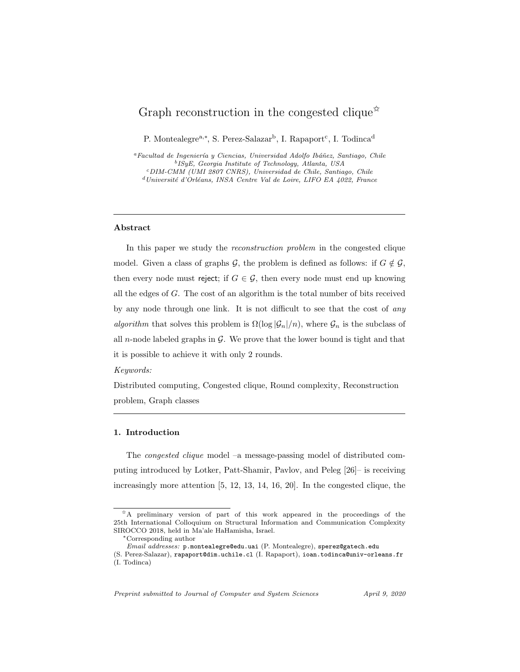# Graph reconstruction in the congested clique<sup> $\star$ </sup>

P. Montealegre<sup>a,∗</sup>, S. Perez-Salazar<sup>b</sup>, I. Rapaport<sup>c</sup>, I. Todinca<sup>d</sup>

<sup>a</sup>Facultad de Ingeniería y Ciencias, Universidad Adolfo Ibáñez, Santiago, Chile b ISyE, Georgia Institute of Technology, Atlanta, USA <sup>c</sup>DIM-CMM (UMI 2807 CNRS), Universidad de Chile, Santiago, Chile  $d$ Université d'Orléans, INSA Centre Val de Loire, LIFO EA 4022, France

#### Abstract

In this paper we study the reconstruction problem in the congested clique model. Given a class of graphs G, the problem is defined as follows: if  $G \notin \mathcal{G}$ , then every node must reject; if  $G \in \mathcal{G}$ , then every node must end up knowing all the edges of G. The cost of an algorithm is the total number of bits received by any node through one link. It is not difficult to see that the cost of any algorithm that solves this problem is  $\Omega(\log |\mathcal{G}_n|/n)$ , where  $\mathcal{G}_n$  is the subclass of all n-node labeled graphs in  $\mathcal{G}$ . We prove that the lower bound is tight and that it is possible to achieve it with only 2 rounds.

#### Keywords:

Distributed computing, Congested clique, Round complexity, Reconstruction problem, Graph classes

# 1. Introduction

The congested clique model –a message-passing model of distributed computing introduced by Lotker, Patt-Shamir, Pavlov, and Peleg [26]– is receiving increasingly more attention [5, 12, 13, 14, 16, 20]. In the congested clique, the

Preprint submitted to Journal of Computer and System Sciences April 9, 2020

<sup>✩</sup>A preliminary version of part of this work appeared in the proceedings of the 25th International Colloquium on Structural Information and Communication Complexity SIROCCO 2018, held in Ma'ale HaHamisha, Israel.

<sup>∗</sup>Corresponding author

Email addresses: p.montealegre@edu.uai (P. Montealegre), sperez@gatech.edu

<sup>(</sup>S. Perez-Salazar), rapaport@dim.uchile.cl (I. Rapaport), ioan.todinca@univ-orleans.fr (I. Todinca)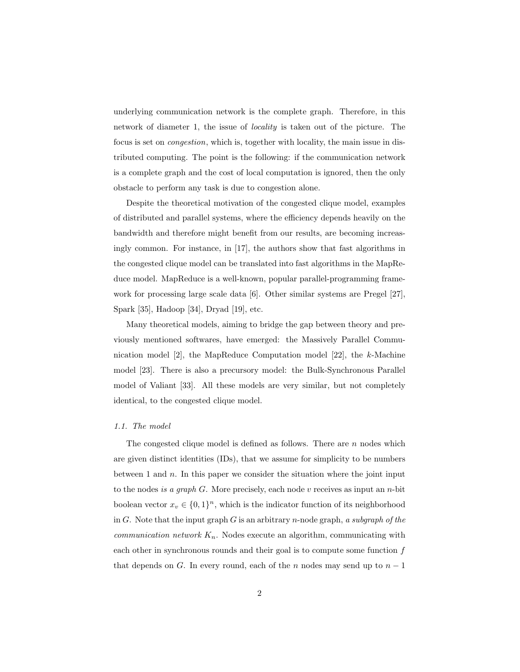underlying communication network is the complete graph. Therefore, in this network of diameter 1, the issue of locality is taken out of the picture. The focus is set on congestion, which is, together with locality, the main issue in distributed computing. The point is the following: if the communication network is a complete graph and the cost of local computation is ignored, then the only obstacle to perform any task is due to congestion alone.

Despite the theoretical motivation of the congested clique model, examples of distributed and parallel systems, where the efficiency depends heavily on the bandwidth and therefore might benefit from our results, are becoming increasingly common. For instance, in [17], the authors show that fast algorithms in the congested clique model can be translated into fast algorithms in the MapReduce model. MapReduce is a well-known, popular parallel-programming framework for processing large scale data [6]. Other similar systems are Pregel [27], Spark [35], Hadoop [34], Dryad [19], etc.

Many theoretical models, aiming to bridge the gap between theory and previously mentioned softwares, have emerged: the Massively Parallel Communication model [2], the MapReduce Computation model [22], the k-Machine model [23]. There is also a precursory model: the Bulk-Synchronous Parallel model of Valiant [33]. All these models are very similar, but not completely identical, to the congested clique model.

#### 1.1. The model

The congested clique model is defined as follows. There are  $n$  nodes which are given distinct identities (IDs), that we assume for simplicity to be numbers between 1 and  $n$ . In this paper we consider the situation where the joint input to the nodes is a graph  $G$ . More precisely, each node v receives as input an n-bit boolean vector  $x_v \in \{0,1\}^n$ , which is the indicator function of its neighborhood in G. Note that the input graph G is an arbitrary n-node graph, a subgraph of the *communication network*  $K_n$ . Nodes execute an algorithm, communicating with each other in synchronous rounds and their goal is to compute some function  $f$ that depends on G. In every round, each of the n nodes may send up to  $n-1$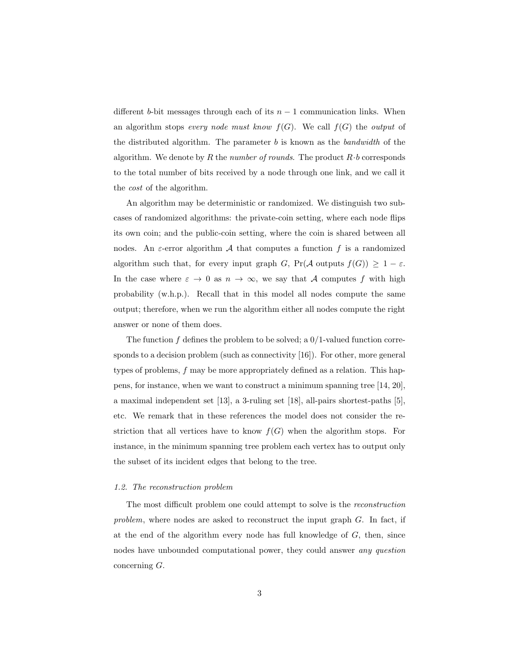different b-bit messages through each of its  $n-1$  communication links. When an algorithm stops every node must know  $f(G)$ . We call  $f(G)$  the output of the distributed algorithm. The parameter  $b$  is known as the *bandwidth* of the algorithm. We denote by R the number of rounds. The product  $R \cdot b$  corresponds to the total number of bits received by a node through one link, and we call it the cost of the algorithm.

An algorithm may be deterministic or randomized. We distinguish two subcases of randomized algorithms: the private-coin setting, where each node flips its own coin; and the public-coin setting, where the coin is shared between all nodes. An  $\varepsilon$ -error algorithm A that computes a function f is a randomized algorithm such that, for every input graph G,  $Pr(A \text{ outputs } f(G)) \geq 1 - \varepsilon$ . In the case where  $\varepsilon \to 0$  as  $n \to \infty$ , we say that A computes f with high probability (w.h.p.). Recall that in this model all nodes compute the same output; therefore, when we run the algorithm either all nodes compute the right answer or none of them does.

The function  $f$  defines the problem to be solved; a  $0/1$ -valued function corresponds to a decision problem (such as connectivity [16]). For other, more general types of problems, f may be more appropriately defined as a relation. This happens, for instance, when we want to construct a minimum spanning tree [14, 20], a maximal independent set [13], a 3-ruling set [18], all-pairs shortest-paths [5], etc. We remark that in these references the model does not consider the restriction that all vertices have to know  $f(G)$  when the algorithm stops. For instance, in the minimum spanning tree problem each vertex has to output only the subset of its incident edges that belong to the tree.

#### 1.2. The reconstruction problem

The most difficult problem one could attempt to solve is the reconstruction problem, where nodes are asked to reconstruct the input graph  $G$ . In fact, if at the end of the algorithm every node has full knowledge of G, then, since nodes have unbounded computational power, they could answer any question concerning G.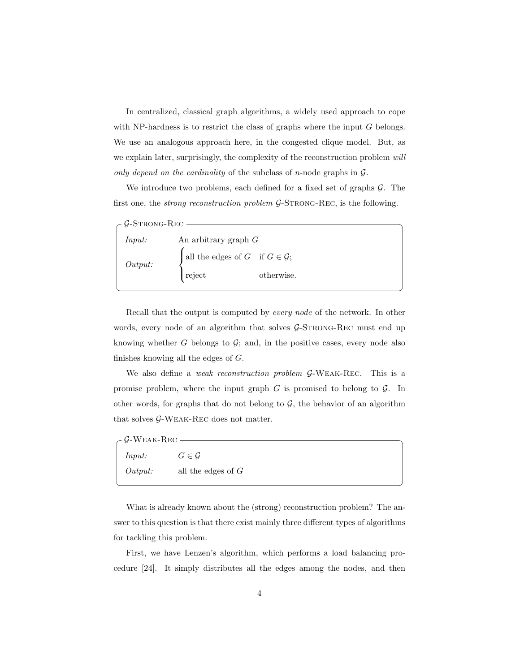In centralized, classical graph algorithms, a widely used approach to cope with NP-hardness is to restrict the class of graphs where the input  $G$  belongs. We use an analogous approach here, in the congested clique model. But, as we explain later, surprisingly, the complexity of the reconstruction problem will only depend on the cardinality of the subclass of n-node graphs in  $\mathcal{G}$ .

We introduce two problems, each defined for a fixed set of graphs  $\mathcal{G}$ . The first one, the *strong reconstruction problem G*-STRONG-REC, is the following.

| - $\mathcal{G}\text{-STRONG-REC}$ |                                               |            |  |
|-----------------------------------|-----------------------------------------------|------------|--|
| <i>Input:</i>                     | An arbitrary graph $G$                        |            |  |
| Output:                           | all the edges of $G$ if $G \in \mathcal{G}$ ; |            |  |
|                                   | reject                                        | otherwise. |  |
|                                   |                                               |            |  |

Recall that the output is computed by every node of the network. In other words, every node of an algorithm that solves  $\mathcal{G}\text{-STRONG-REC}$  must end up knowing whether  $G$  belongs to  $\mathcal{G}$ ; and, in the positive cases, every node also finishes knowing all the edges of G.

We also define a *weak reconstruction problem G*-WEAK-REC. This is a promise problem, where the input graph  $G$  is promised to belong to  $\mathcal{G}$ . In other words, for graphs that do not belong to  $G$ , the behavior of an algorithm that solves  ${\cal G}\text{-}{\rm W}{\rm E}{\rm A}{\rm K}\text{-}{\rm REC}$  does not matter.

| $\overline{C}$ G-Weak-Rec |                      |
|---------------------------|----------------------|
| <i>Input:</i>             | $G \in \mathcal{G}$  |
| Output:                   | all the edges of $G$ |

What is already known about the (strong) reconstruction problem? The answer to this question is that there exist mainly three different types of algorithms for tackling this problem.

First, we have Lenzen's algorithm, which performs a load balancing procedure [24]. It simply distributes all the edges among the nodes, and then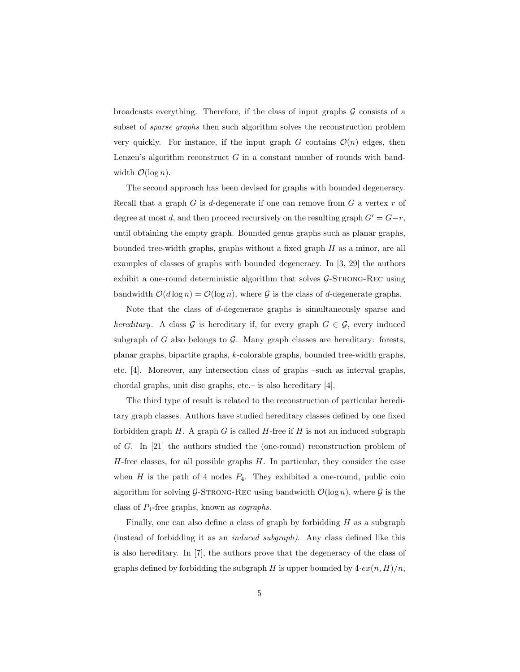broadcasts everything. Therefore, if the class of input graphs  $G$  consists of a subset of *sparse graphs* then such algorithm solves the reconstruction problem very quickly. For instance, if the input graph G contains  $\mathcal{O}(n)$  edges, then Lenzen's algorithm reconstruct  $G$  in a constant number of rounds with bandwidth  $\mathcal{O}(\log n)$ .

The second approach has been devised for graphs with bounded degeneracy. Recall that a graph  $G$  is d-degenerate if one can remove from  $G$  a vertex  $r$  of degree at most d, and then proceed recursively on the resulting graph  $G' = G - r$ , until obtaining the empty graph. Bounded genus graphs such as planar graphs, bounded tree-width graphs, graphs without a fixed graph  $H$  as a minor, are all examples of classes of graphs with bounded degeneracy. In [3, 29] the authors exhibit a one-round deterministic algorithm that solves  $G$ -STRONG-REC using bandwidth  $\mathcal{O}(d \log n) = \mathcal{O}(\log n)$ , where G is the class of d-degenerate graphs.

Note that the class of d-degenerate graphs is simultaneously sparse and hereditary. A class G is hereditary if, for every graph  $G \in \mathcal{G}$ , every induced subgraph of G also belongs to  $\mathcal G$ . Many graph classes are hereditary: forests, planar graphs, bipartite graphs, k-colorable graphs, bounded tree-width graphs, etc. [4]. Moreover, any intersection class of graphs –such as interval graphs, chordal graphs, unit disc graphs, etc.– is also hereditary [4].

The third type of result is related to the reconstruction of particular hereditary graph classes. Authors have studied hereditary classes defined by one fixed forbidden graph  $H$ . A graph  $G$  is called  $H$ -free if  $H$  is not an induced subgraph of G. In [21] the authors studied the (one-round) reconstruction problem of  $H$ -free classes, for all possible graphs  $H$ . In particular, they consider the case when  $H$  is the path of 4 nodes  $P_4$ . They exhibited a one-round, public coin algorithm for solving  $G$ -STRONG-REC using bandwidth  $\mathcal{O}(\log n)$ , where G is the class of  $P_4$ -free graphs, known as *cographs*.

Finally, one can also define a class of graph by forbidding  $H$  as a subgraph (instead of forbidding it as an induced subgraph). Any class defined like this is also hereditary. In [7], the authors prove that the degeneracy of the class of graphs defined by forbidding the subgraph H is upper bounded by  $4 \cdot e^{i(n, H)/n}$ ,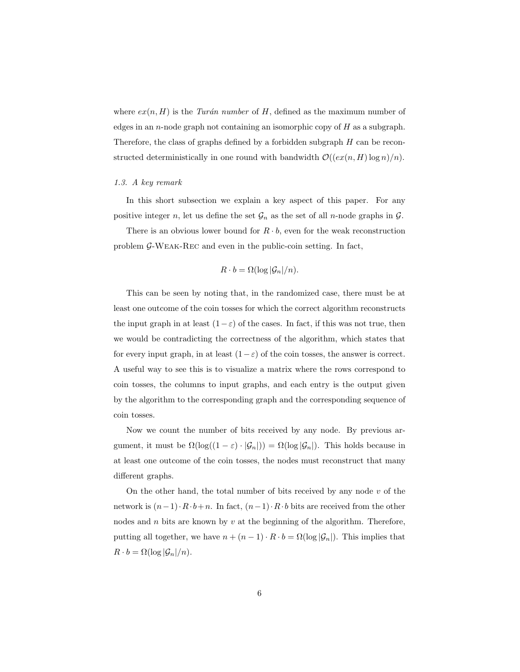where  $ex(n, H)$  is the Turán number of H, defined as the maximum number of edges in an n-node graph not containing an isomorphic copy of  $H$  as a subgraph. Therefore, the class of graphs defined by a forbidden subgraph H can be reconstructed deterministically in one round with bandwidth  $\mathcal{O}((ex(n, H) \log n)/n)$ .

#### 1.3. A key remark

In this short subsection we explain a key aspect of this paper. For any positive integer n, let us define the set  $\mathcal{G}_n$  as the set of all n-node graphs in  $\mathcal{G}$ .

There is an obvious lower bound for  $R \cdot b$ , even for the weak reconstruction problem G-Weak-Rec and even in the public-coin setting. In fact,

$$
R \cdot b = \Omega(\log |\mathcal{G}_n|/n).
$$

This can be seen by noting that, in the randomized case, there must be at least one outcome of the coin tosses for which the correct algorithm reconstructs the input graph in at least  $(1-\varepsilon)$  of the cases. In fact, if this was not true, then we would be contradicting the correctness of the algorithm, which states that for every input graph, in at least  $(1-\varepsilon)$  of the coin tosses, the answer is correct. A useful way to see this is to visualize a matrix where the rows correspond to coin tosses, the columns to input graphs, and each entry is the output given by the algorithm to the corresponding graph and the corresponding sequence of coin tosses.

Now we count the number of bits received by any node. By previous argument, it must be  $\Omega(\log((1-\varepsilon)\cdot|\mathcal{G}_n|)) = \Omega(\log|\mathcal{G}_n|)$ . This holds because in at least one outcome of the coin tosses, the nodes must reconstruct that many different graphs.

On the other hand, the total number of bits received by any node  $v$  of the network is  $(n-1) \cdot R \cdot b+n$ . In fact,  $(n-1) \cdot R \cdot b$  bits are received from the other nodes and  $n$  bits are known by  $v$  at the beginning of the algorithm. Therefore, putting all together, we have  $n + (n - 1) \cdot R \cdot b = \Omega(\log |\mathcal{G}_n|)$ . This implies that  $R \cdot b = \Omega(\log |\mathcal{G}_n|/n).$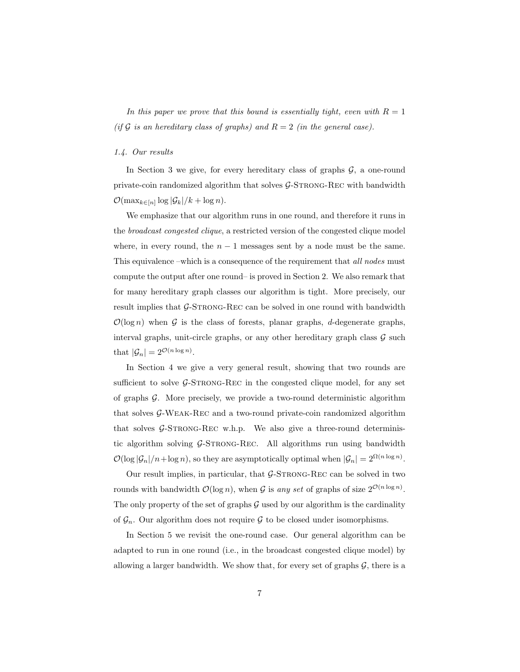In this paper we prove that this bound is essentially tight, even with  $R = 1$ (if G is an hereditary class of graphs) and  $R = 2$  (in the general case).

#### 1.4. Our results

In Section 3 we give, for every hereditary class of graphs  $\mathcal{G}$ , a one-round private-coin randomized algorithm that solves  $\mathcal{G}\text{-STRONG-REC}$  with bandwidth  $\mathcal{O}(\max_{k\in[n]}\log|\mathcal{G}_k|/k+\log n).$ 

We emphasize that our algorithm runs in one round, and therefore it runs in the broadcast congested clique, a restricted version of the congested clique model where, in every round, the  $n-1$  messages sent by a node must be the same. This equivalence –which is a consequence of the requirement that all nodes must compute the output after one round– is proved in Section 2. We also remark that for many hereditary graph classes our algorithm is tight. More precisely, our result implies that  $\mathcal{G}\text{-STRONG-REC}$  can be solved in one round with bandwidth  $\mathcal{O}(\log n)$  when G is the class of forests, planar graphs, d-degenerate graphs, interval graphs, unit-circle graphs, or any other hereditary graph class  $\mathcal G$  such that  $|\mathcal{G}_n| = 2^{\mathcal{O}(n \log n)}$ .

In Section 4 we give a very general result, showing that two rounds are sufficient to solve  $\mathcal{G}\text{-STRONG-REC}$  in the congested clique model, for any set of graphs  $\mathcal{G}$ . More precisely, we provide a two-round deterministic algorithm that solves G-Weak-Rec and a two-round private-coin randomized algorithm that solves  $\mathcal{G}\text{-STRONG-REC}$  w.h.p. We also give a three-round deterministic algorithm solving  $G$ -STRONG-REC. All algorithms run using bandwidth  $\mathcal{O}(\log |\mathcal{G}_n|/n + \log n)$ , so they are asymptotically optimal when  $|\mathcal{G}_n| = 2^{\Omega(n \log n)}$ .

Our result implies, in particular, that  $G$ -STRONG-REC can be solved in two rounds with bandwidth  $\mathcal{O}(\log n)$ , when G is any set of graphs of size  $2^{\mathcal{O}(n \log n)}$ . The only property of the set of graphs  $\mathcal G$  used by our algorithm is the cardinality of  $\mathcal{G}_n$ . Our algorithm does not require  $\mathcal G$  to be closed under isomorphisms.

In Section 5 we revisit the one-round case. Our general algorithm can be adapted to run in one round (i.e., in the broadcast congested clique model) by allowing a larger bandwidth. We show that, for every set of graphs  $\mathcal{G}$ , there is a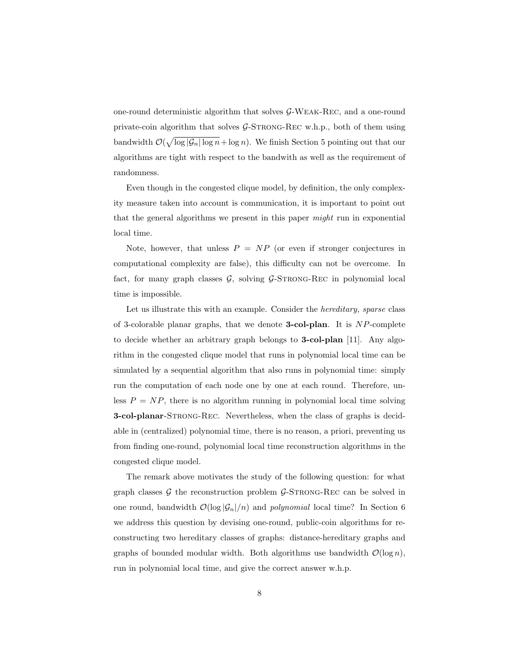one-round deterministic algorithm that solves G-Weak-Rec, and a one-round private-coin algorithm that solves  $G$ -STRONG-REC w.h.p., both of them using bandwidth  $\mathcal{O}(\sqrt{\log |\mathcal{G}_n| \log n} + \log n)$ . We finish Section 5 pointing out that our algorithms are tight with respect to the bandwith as well as the requirement of randomness.

Even though in the congested clique model, by definition, the only complexity measure taken into account is communication, it is important to point out that the general algorithms we present in this paper might run in exponential local time.

Note, however, that unless  $P = NP$  (or even if stronger conjectures in computational complexity are false), this difficulty can not be overcome. In fact, for many graph classes  $G$ , solving  $G$ -STRONG-REC in polynomial local time is impossible.

Let us illustrate this with an example. Consider the *hereditary*, *sparse* class of 3-colorable planar graphs, that we denote **3-col-plan**. It is  $NP$ -complete to decide whether an arbitrary graph belongs to 3-col-plan [11]. Any algorithm in the congested clique model that runs in polynomial local time can be simulated by a sequential algorithm that also runs in polynomial time: simply run the computation of each node one by one at each round. Therefore, unless  $P = NP$ , there is no algorithm running in polynomial local time solving 3-col-planar-Strong-Rec. Nevertheless, when the class of graphs is decidable in (centralized) polynomial time, there is no reason, a priori, preventing us from finding one-round, polynomial local time reconstruction algorithms in the congested clique model.

The remark above motivates the study of the following question: for what graph classes  $\mathcal G$  the reconstruction problem  $\mathcal G$ -STRONG-REC can be solved in one round, bandwidth  $\mathcal{O}(\log |\mathcal{G}_n|/n)$  and *polynomial* local time? In Section 6 we address this question by devising one-round, public-coin algorithms for reconstructing two hereditary classes of graphs: distance-hereditary graphs and graphs of bounded modular width. Both algorithms use bandwidth  $\mathcal{O}(\log n)$ , run in polynomial local time, and give the correct answer w.h.p.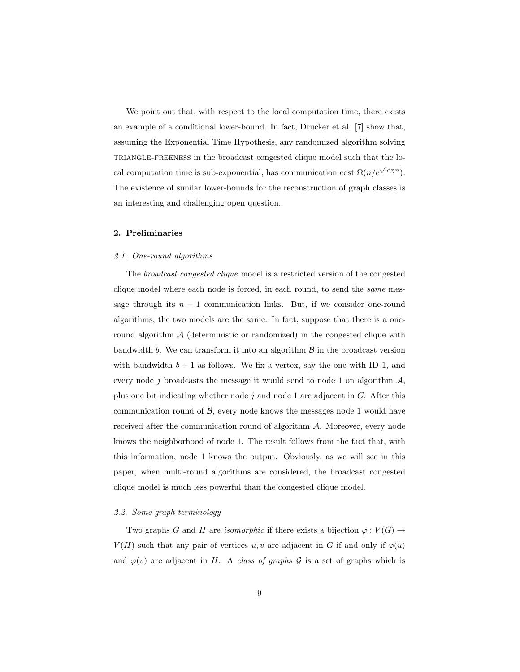We point out that, with respect to the local computation time, there exists an example of a conditional lower-bound. In fact, Drucker et al. [7] show that, assuming the Exponential Time Hypothesis, any randomized algorithm solving triangle-freeness in the broadcast congested clique model such that the local computation time is sub-exponential, has communication cost  $\Omega(n/e^{\sqrt{\log n}})$ . The existence of similar lower-bounds for the reconstruction of graph classes is an interesting and challenging open question.

# 2. Preliminaries

#### 2.1. One-round algorithms

The broadcast congested clique model is a restricted version of the congested clique model where each node is forced, in each round, to send the same message through its  $n - 1$  communication links. But, if we consider one-round algorithms, the two models are the same. In fact, suppose that there is a oneround algorithm  $A$  (deterministic or randomized) in the congested clique with bandwidth  $b$ . We can transform it into an algorithm  $\beta$  in the broadcast version with bandwidth  $b + 1$  as follows. We fix a vertex, say the one with ID 1, and every node j broadcasts the message it would send to node 1 on algorithm  $\mathcal{A}$ , plus one bit indicating whether node  $j$  and node 1 are adjacent in  $G$ . After this communication round of  $\beta$ , every node knows the messages node 1 would have received after the communication round of algorithm A. Moreover, every node knows the neighborhood of node 1. The result follows from the fact that, with this information, node 1 knows the output. Obviously, as we will see in this paper, when multi-round algorithms are considered, the broadcast congested clique model is much less powerful than the congested clique model.

# 2.2. Some graph terminology

Two graphs G and H are *isomorphic* if there exists a bijection  $\varphi: V(G) \to$  $V(H)$  such that any pair of vertices u, v are adjacent in G if and only if  $\varphi(u)$ and  $\varphi(v)$  are adjacent in H. A class of graphs G is a set of graphs which is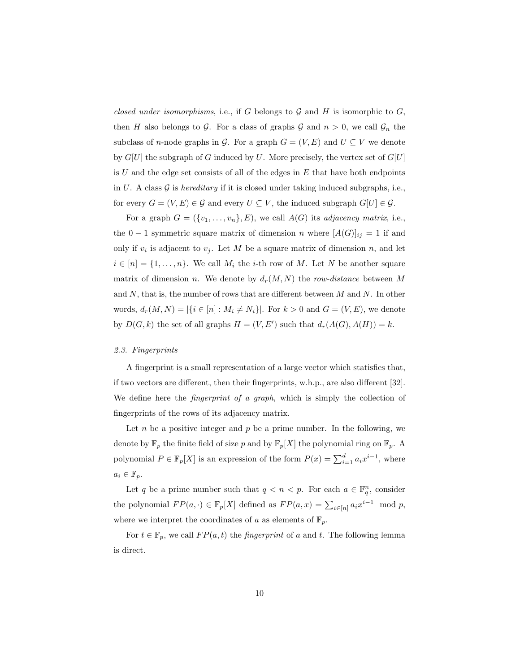closed under isomorphisms, i.e., if G belongs to  $G$  and H is isomorphic to  $G$ , then H also belongs to G. For a class of graphs G and  $n > 0$ , we call  $\mathcal{G}_n$  the subclass of *n*-node graphs in G. For a graph  $G = (V, E)$  and  $U \subseteq V$  we denote by  $G[U]$  the subgraph of G induced by U. More precisely, the vertex set of  $G[U]$ is  $U$  and the edge set consists of all of the edges in  $E$  that have both endpoints in U. A class  $\mathcal G$  is *hereditary* if it is closed under taking induced subgraphs, i.e., for every  $G = (V, E) \in \mathcal{G}$  and every  $U \subseteq V$ , the induced subgraph  $G[U] \in \mathcal{G}$ .

For a graph  $G = (\{v_1, \ldots, v_n\}, E)$ , we call  $A(G)$  its *adjacency matrix*, i.e., the 0 − 1 symmetric square matrix of dimension *n* where  $[A(G)]_{ij} = 1$  if and only if  $v_i$  is adjacent to  $v_j$ . Let M be a square matrix of dimension n, and let  $i \in [n] = \{1, \ldots, n\}$ . We call  $M_i$  the *i*-th row of M. Let N be another square matrix of dimension n. We denote by  $d_r(M, N)$  the row-distance between M and  $N$ , that is, the number of rows that are different between  $M$  and  $N$ . In other words,  $d_r(M, N) = |\{i \in [n] : M_i \neq N_i\}|$ . For  $k > 0$  and  $G = (V, E)$ , we denote by  $D(G, k)$  the set of all graphs  $H = (V, E')$  such that  $d_r(A(G), A(H)) = k$ .

#### 2.3. Fingerprints

A fingerprint is a small representation of a large vector which statisfies that, if two vectors are different, then their fingerprints, w.h.p., are also different [32]. We define here the *fingerprint of a graph*, which is simply the collection of fingerprints of the rows of its adjacency matrix.

Let  $n$  be a positive integer and  $p$  be a prime number. In the following, we denote by  $\mathbb{F}_p$  the finite field of size p and by  $\mathbb{F}_p[X]$  the polynomial ring on  $\mathbb{F}_p$ . A polynomial  $P \in \mathbb{F}_p[X]$  is an expression of the form  $P(x) = \sum_{i=1}^d a_i x^{i-1}$ , where  $a_i \in \mathbb{F}_p$ .

Let q be a prime number such that  $q < n < p$ . For each  $a \in \mathbb{F}_q^n$ , consider the polynomial  $FP(a, \cdot) \in \mathbb{F}_p[X]$  defined as  $FP(a, x) = \sum_{i \in [n]} a_i x^{i-1} \mod p$ , where we interpret the coordinates of a as elements of  $\mathbb{F}_p$ .

For  $t \in \mathbb{F}_p$ , we call  $FP(a, t)$  the *fingerprint* of a and t. The following lemma is direct.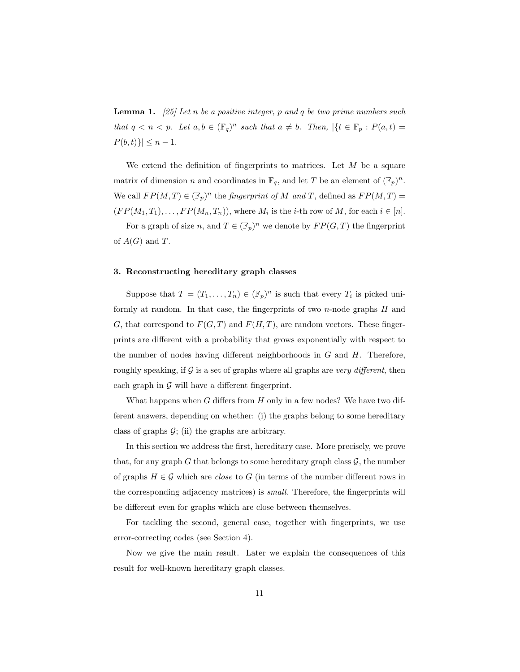**Lemma 1.** [25] Let n be a positive integer, p and q be two prime numbers such that  $q < n < p$ . Let  $a, b \in (\mathbb{F}_q)^n$  such that  $a \neq b$ . Then,  $\vert \{t \in \mathbb{F}_p : P(a,t) =$  $P(b, t)$ }|  $\leq n - 1$ .

We extend the definition of fingerprints to matrices. Let  $M$  be a square matrix of dimension *n* and coordinates in  $\mathbb{F}_q$ , and let *T* be an element of  $(\mathbb{F}_p)^n$ . We call  $FP(M, T) \in (\mathbb{F}_p)^n$  the *fingerprint of* M and T, defined as  $FP(M, T) =$  $(FP(M_1, T_1), \ldots, FP(M_n, T_n)),$  where  $M_i$  is the *i*-th row of  $M$ , for each  $i \in [n]$ .

For a graph of size n, and  $T \in (\mathbb{F}_p)^n$  we denote by  $FP(G, T)$  the fingerprint of  $A(G)$  and T.

# 3. Reconstructing hereditary graph classes

Suppose that  $T = (T_1, \ldots, T_n) \in (\mathbb{F}_p)^n$  is such that every  $T_i$  is picked uniformly at random. In that case, the fingerprints of two  $n$ -node graphs  $H$  and G, that correspond to  $F(G, T)$  and  $F(H, T)$ , are random vectors. These fingerprints are different with a probability that grows exponentially with respect to the number of nodes having different neighborhoods in  $G$  and  $H$ . Therefore, roughly speaking, if  $G$  is a set of graphs where all graphs are very different, then each graph in  $\mathcal G$  will have a different fingerprint.

What happens when  $G$  differs from  $H$  only in a few nodes? We have two different answers, depending on whether: (i) the graphs belong to some hereditary class of graphs  $\mathcal{G}$ ; (ii) the graphs are arbitrary.

In this section we address the first, hereditary case. More precisely, we prove that, for any graph G that belongs to some hereditary graph class  $\mathcal{G}$ , the number of graphs  $H \in \mathcal{G}$  which are *close* to G (in terms of the number different rows in the corresponding adjacency matrices) is small. Therefore, the fingerprints will be different even for graphs which are close between themselves.

For tackling the second, general case, together with fingerprints, we use error-correcting codes (see Section 4).

Now we give the main result. Later we explain the consequences of this result for well-known hereditary graph classes.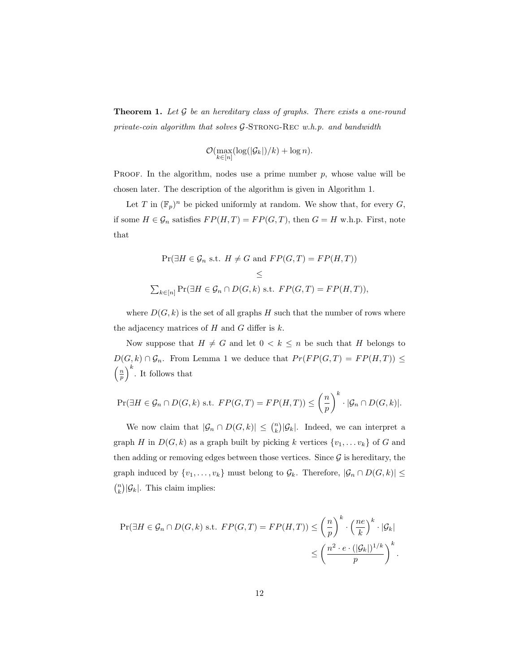**Theorem 1.** Let  $\mathcal G$  be an hereditary class of graphs. There exists a one-round private-coin algorithm that solves  $G$ -STRONG-REC w.h.p. and bandwidth

$$
\mathcal{O}(\max_{k \in [n]} (\log(|\mathcal{G}_k|)/k) + \log n).
$$

PROOF. In the algorithm, nodes use a prime number  $p$ , whose value will be chosen later. The description of the algorithm is given in Algorithm 1.

Let T in  $(\mathbb{F}_p)^n$  be picked uniformly at random. We show that, for every G, if some  $H \in \mathcal{G}_n$  satisfies  $FP(H, T) = FP(G, T)$ , then  $G = H$  w.h.p. First, note that

$$
\Pr(\exists H \in \mathcal{G}_n \text{ s.t. } H \neq G \text{ and } FP(G, T) = FP(H, T))
$$
  
\$\le\$  

$$
\sum_{k \in [n]} \Pr(\exists H \in \mathcal{G}_n \cap D(G, k) \text{ s.t. } FP(G, T) = FP(H, T)),
$$

where  $D(G, k)$  is the set of all graphs H such that the number of rows where the adjacency matrices of  $H$  and  $G$  differ is  $k$ .

Now suppose that  $H \neq G$  and let  $0 < k \leq n$  be such that H belongs to  $D(G, k) \cap \mathcal{G}_n$ . From Lemma 1 we deduce that  $Pr(FP(G, T) = FP(H, T)) \le$  $\left(\frac{n}{p}\right)^k$ . It follows that

$$
\Pr(\exists H \in \mathcal{G}_n \cap D(G,k) \text{ s.t. } FP(G,T) = FP(H,T)) \leq \left(\frac{n}{p}\right)^k \cdot |\mathcal{G}_n \cap D(G,k)|.
$$

We now claim that  $|\mathcal{G}_n \cap D(G,k)| \leq {n \choose k} |\mathcal{G}_k|$ . Indeed, we can interpret a graph H in  $D(G, k)$  as a graph built by picking k vertices  $\{v_1, \ldots v_k\}$  of G and then adding or removing edges between those vertices. Since  $\mathcal G$  is hereditary, the graph induced by  $\{v_1, \ldots, v_k\}$  must belong to  $\mathcal{G}_k$ . Therefore,  $|\mathcal{G}_n \cap D(G, k)| \leq$  $\binom{n}{k}$   $|\mathcal{G}_k|$ . This claim implies:

$$
\Pr(\exists H \in \mathcal{G}_n \cap D(G, k) \text{ s.t. } FP(G, T) = FP(H, T)) \le \left(\frac{n}{p}\right)^k \cdot \left(\frac{ne}{k}\right)^k \cdot |\mathcal{G}_k|
$$
  

$$
\le \left(\frac{n^2 \cdot e \cdot (|\mathcal{G}_k|)^{1/k}}{p}\right)^k.
$$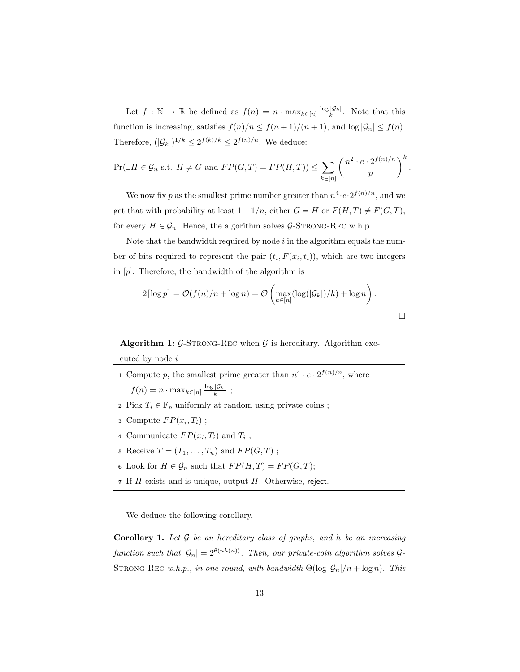Let  $f: \mathbb{N} \to \mathbb{R}$  be defined as  $f(n) = n \cdot \max_{k \in [n]} \frac{\log |\mathcal{G}_k|}{k}$ . Note that this function is increasing, satisfies  $f(n)/n \le f(n+1)/(n+1)$ , and  $\log |\mathcal{G}_n| \le f(n)$ . Therefore,  $(|\mathcal{G}_k|)^{1/k} \leq 2^{f(k)/k} \leq 2^{f(n)/n}$ . We deduce:

$$
\Pr(\exists H \in \mathcal{G}_n \text{ s.t. } H \neq G \text{ and } FP(G, T) = FP(H, T)) \le \sum_{k \in [n]} \left(\frac{n^2 \cdot e \cdot 2^{f(n)/n}}{p}\right)^k
$$

.

We now fix p as the smallest prime number greater than  $n^4 \cdot e \cdot 2^{f(n)/n}$ , and we get that with probability at least  $1 - 1/n$ , either  $G = H$  or  $F(H, T) \neq F(G, T)$ , for every  $H \in \mathcal{G}_n$ . Hence, the algorithm solves  $\mathcal{G}\text{-STRONG-REC}$  w.h.p.

Note that the bandwidth required by node  $i$  in the algorithm equals the number of bits required to represent the pair  $(t_i, F(x_i, t_i))$ , which are two integers in  $[p]$ . Therefore, the bandwidth of the algorithm is

$$
2\lceil \log p \rceil = \mathcal{O}(f(n)/n + \log n) = \mathcal{O}\left(\max_{k \in [n]} (\log(|\mathcal{G}_k|)/k) + \log n\right).
$$

Algorithm 1:  $G$ -STRONG-REC when  $G$  is hereditary. Algorithm executed by node i

- **1** Compute p, the smallest prime greater than  $n^4 \cdot e \cdot 2^{f(n)/n}$ , where  $f(n) = n \cdot \max_{k \in [n]} \frac{\log |\mathcal{G}_k|}{k}$ ;
- 2 Pick  $T_i \in \mathbb{F}_p$  uniformly at random using private coins ;
- **3** Compute  $FP(x_i, T_i)$ ;
- 4 Communicate  $FP(x_i, T_i)$  and  $T_i$ ;
- 5 Receive  $T = (T_1, \ldots, T_n)$  and  $FP(G, T)$ ;
- 6 Look for  $H \in \mathcal{G}_n$  such that  $FP(H, T) = FP(G, T);$
- 7 If  $H$  exists and is unique, output  $H$ . Otherwise, reject.

We deduce the following corollary.

**Corollary 1.** Let  $\mathcal G$  be an hereditary class of graphs, and h be an increasing function such that  $|\mathcal{G}_n| = 2^{\theta(nh(n))}$ . Then, our private-coin algorithm solves  $\mathcal{G}_n$ STRONG-REC w.h.p., in one-round, with bandwidth  $\Theta(\log |\mathcal{G}_n|/n + \log n)$ . This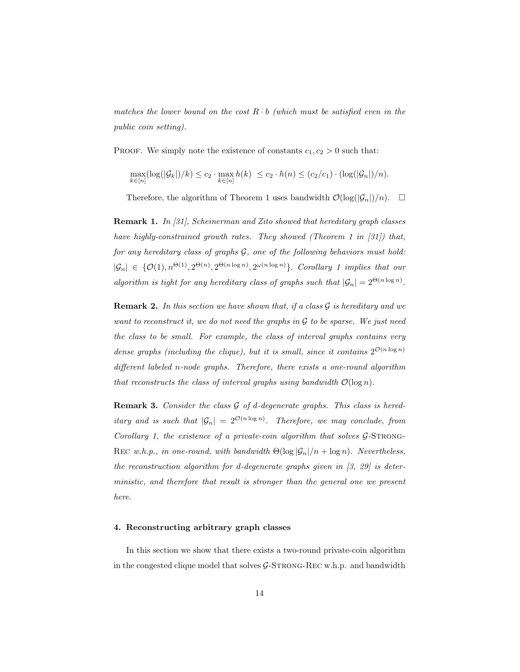matches the lower bound on the cost  $R \cdot b$  (which must be satisfied even in the public coin setting).

PROOF. We simply note the existence of constants  $c_1, c_2 > 0$  such that:

$$
\max_{k \in [n]} (\log(|\mathcal{G}_k|)/k) \leq c_2 \cdot \max_{k \in [n]} h(k) \leq c_2 \cdot h(n) \leq (c_2/c_1) \cdot (\log(|\mathcal{G}_n|)/n).
$$

Therefore, the algorithm of Theorem 1 uses bandwidth  $\mathcal{O}(\log(|\mathcal{G}_n|)/n)$ .  $\Box$ 

Remark 1. In [31], Scheinerman and Zito showed that hereditary graph classes have highly-constrained growth rates. They showed (Theorem 1 in [31]) that, for any hereditary class of graphs G, one of the following behaviors must hold:  $|\mathcal{G}_n| \in \{O(1), n^{\Theta(1)}, 2^{\Theta(n)}, 2^{\Theta(n \log n)}, 2^{\omega(n \log n)}\}\$ . Corollary 1 implies that our algorithm is tight for any hereditary class of graphs such that  $|\mathcal{G}_n| = 2^{\Theta(n \log n)}$ .

**Remark 2.** In this section we have shown that, if a class  $\mathcal G$  is hereditary and we want to reconstruct it, we do not need the graphs in  $\mathcal G$  to be sparse. We just need the class to be small. For example, the class of interval graphs contains very dense graphs (including the clique), but it is small, since it contains  $2^{\mathcal{O}(n \log n)}$ different labeled n-node graphs. Therefore, there exists a one-round algorithm that reconstructs the class of interval graphs using bandwidth  $\mathcal{O}(\log n)$ .

**Remark 3.** Consider the class  $G$  of d-degenerate graphs. This class is hereditary and is such that  $|\mathcal{G}_n| = 2^{\mathcal{O}(n \log n)}$ . Therefore, we may conclude, from Corollary 1, the existence of a private-coin algorithm that solves  $G$ -STRONG-REC w.h.p., in one-round, with bandwidth  $\Theta(\log |\mathcal{G}_n|/n + \log n)$ . Nevertheless, the reconstruction algorithm for d-degenerate graphs given in  $[3, 29]$  is deterministic, and therefore that result is stronger than the general one we present here.

# 4. Reconstructing arbitrary graph classes

In this section we show that there exists a two-round private-coin algorithm in the congested clique model that solves  $\mathcal{G}\text{-STRONG-REC}$  w.h.p. and bandwidth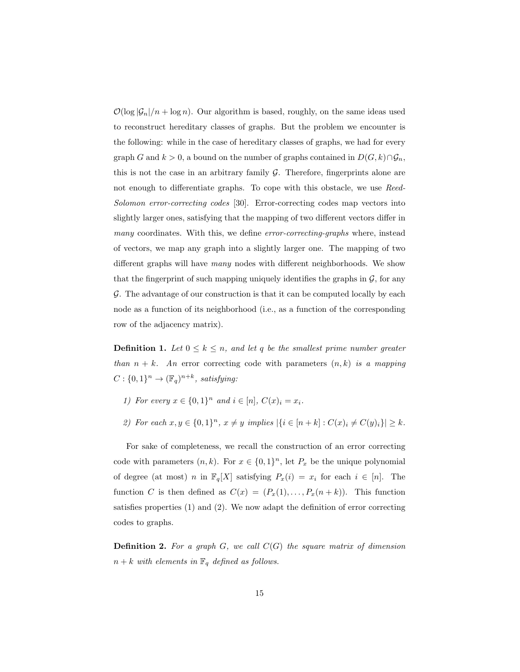$\mathcal{O}(\log |\mathcal{G}_n|/n + \log n)$ . Our algorithm is based, roughly, on the same ideas used to reconstruct hereditary classes of graphs. But the problem we encounter is the following: while in the case of hereditary classes of graphs, we had for every graph G and  $k > 0$ , a bound on the number of graphs contained in  $D(G, k) \cap \mathcal{G}_n$ , this is not the case in an arbitrary family  $G$ . Therefore, fingerprints alone are not enough to differentiate graphs. To cope with this obstacle, we use Reed-Solomon error-correcting codes [30]. Error-correcting codes map vectors into slightly larger ones, satisfying that the mapping of two different vectors differ in many coordinates. With this, we define error-correcting-graphs where, instead of vectors, we map any graph into a slightly larger one. The mapping of two different graphs will have many nodes with different neighborhoods. We show that the fingerprint of such mapping uniquely identifies the graphs in  $\mathcal{G}$ , for any  $G$ . The advantage of our construction is that it can be computed locally by each node as a function of its neighborhood (i.e., as a function of the corresponding row of the adjacency matrix).

**Definition 1.** Let  $0 \leq k \leq n$ , and let q be the smallest prime number greater than  $n + k$ . An error correcting code with parameters  $(n, k)$  is a mapping  $C: \{0,1\}^n \to (\mathbb{F}_q)^{n+k}$ , satisfying:

- 1) For every  $x \in \{0,1\}^n$  and  $i \in [n]$ ,  $C(x)_i = x_i$ .
- 2) For each  $x, y \in \{0,1\}^n$ ,  $x \neq y$  implies  $|\{i \in [n+k] : C(x)_i \neq C(y)_i\}| \geq k$ .

For sake of completeness, we recall the construction of an error correcting code with parameters  $(n, k)$ . For  $x \in \{0, 1\}^n$ , let  $P_x$  be the unique polynomial of degree (at most) n in  $\mathbb{F}_q[X]$  satisfying  $P_x(i) = x_i$  for each  $i \in [n]$ . The function C is then defined as  $C(x) = (P_x(1), \ldots, P_x(n+k))$ . This function satisfies properties (1) and (2). We now adapt the definition of error correcting codes to graphs.

**Definition 2.** For a graph  $G$ , we call  $C(G)$  the square matrix of dimension  $n + k$  with elements in  $\mathbb{F}_q$  defined as follows.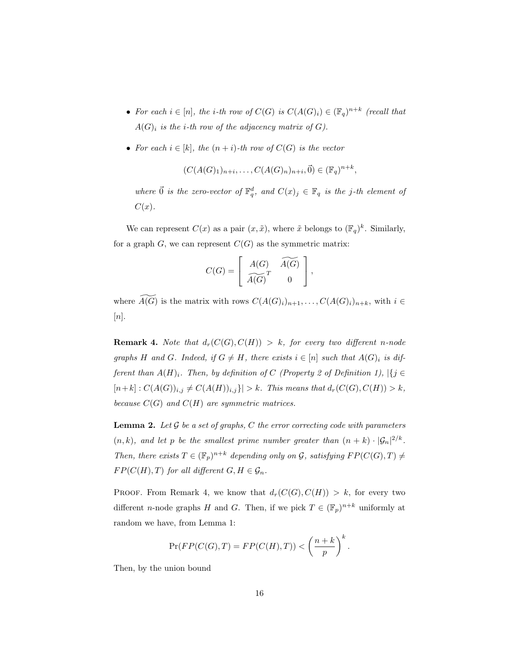- For each  $i \in [n]$ , the *i*-th row of  $C(G)$  is  $C(A(G)_i) \in (\mathbb{F}_q)^{n+k}$  (recall that  $A(G)_i$  is the *i*-th row of the adjacency matrix of G).
- For each  $i \in [k]$ , the  $(n+i)$ -th row of  $C(G)$  is the vector

$$
(C(A(G)1)n+i,..., C(A(G)n)n+i,\vec{0}) \in (\mathbb{F}_q)^{n+k},
$$

where  $\vec{0}$  is the zero-vector of  $\mathbb{F}_q^d$ , and  $C(x)_j \in \mathbb{F}_q$  is the j-th element of  $C(x)$ .

We can represent  $C(x)$  as a pair  $(x, \tilde{x})$ , where  $\tilde{x}$  belongs to  $(\mathbb{F}_q)^k$ . Similarly, for a graph  $G$ , we can represent  $C(G)$  as the symmetric matrix:

$$
C(G) = \left[ \begin{array}{cc} A(G) & \widetilde{A(G)} \\ \widetilde{A(G)}^T & 0 \end{array} \right],
$$

where  $\widetilde{A(G)}$  is the matrix with rows  $C(A(G_i)_{i})_{n+1}, \ldots, C(A(G)_i)_{n+k}$ , with  $i \in$  $[n].$ 

**Remark 4.** Note that  $d_r(C(G), C(H)) > k$ , for every two different n-node graphs H and G. Indeed, if  $G \neq H$ , there exists  $i \in [n]$  such that  $A(G)_i$  is different than  $A(H)_i$ . Then, by definition of C (Property 2 of Definition 1),  $|\{j \in$  $[n+k] : C(A(G))_{i,j} \neq C(A(H))_{i,j}$ ] > k. This means that  $d_r(C(G), C(H)) > k$ , because  $C(G)$  and  $C(H)$  are symmetric matrices.

**Lemma 2.** Let  $\mathcal G$  be a set of graphs,  $C$  the error correcting code with parameters  $(n, k)$ , and let p be the smallest prime number greater than  $(n + k) \cdot |\mathcal{G}_n|^{2/k}$ . Then, there exists  $T \in (\mathbb{F}_p)^{n+k}$  depending only on G, satisfying  $FP(C(G), T) \neq$  $FP(C(H), T)$  for all different  $G, H \in \mathcal{G}_n$ .

PROOF. From Remark 4, we know that  $d_r(C(G), C(H)) > k$ , for every two different *n*-node graphs H and G. Then, if we pick  $T \in (\mathbb{F}_p)^{n+k}$  uniformly at random we have, from Lemma 1:

$$
\Pr(FP(C(G),T) = FP(C(H),T)) < \left(\frac{n+k}{p}\right)^k.
$$

Then, by the union bound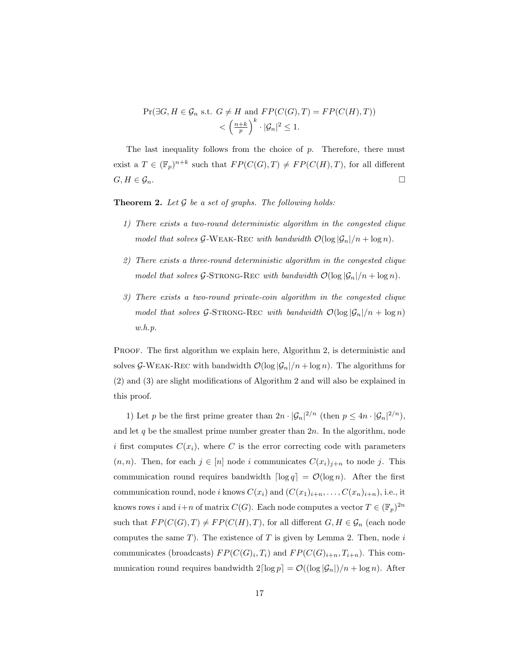$$
\Pr(\exists G, H \in \mathcal{G}_n \text{ s.t. } G \neq H \text{ and } FP(C(G), T) = FP(C(H), T))
$$
  

$$
< \left(\frac{n+k}{p}\right)^k \cdot |\mathcal{G}_n|^2 \le 1.
$$

The last inequality follows from the choice of  $p$ . Therefore, there must exist a  $T \in (\mathbb{F}_p)^{n+k}$  such that  $FP(C(G), T) \neq FP(C(H), T)$ , for all different  $G, H \in \mathcal{G}_n$ .

**Theorem 2.** Let  $\mathcal G$  be a set of graphs. The following holds:

- 1) There exists a two-round deterministic algorithm in the congested clique model that solves G-WEAK-REC with bandwidth  $\mathcal{O}(\log |\mathcal{G}_n|/n + \log n)$ .
- 2) There exists a three-round deterministic algorithm in the congested clique model that solves G-STRONG-REC with bandwidth  $\mathcal{O}(\log |\mathcal{G}_n|/n + \log n)$ .
- 3) There exists a two-round private-coin algorithm in the congested clique model that solves G-STRONG-REC with bandwidth  $\mathcal{O}(\log |\mathcal{G}_n|/n + \log n)$ w.h.p.

PROOF. The first algorithm we explain here, Algorithm 2, is deterministic and solves G-WEAK-REC with bandwidth  $\mathcal{O}(\log |\mathcal{G}_n|/n + \log n)$ . The algorithms for (2) and (3) are slight modifications of Algorithm 2 and will also be explained in this proof.

1) Let p be the first prime greater than  $2n \cdot |\mathcal{G}_n|^{2/n}$  (then  $p \le 4n \cdot |\mathcal{G}_n|^{2/n}$ ), and let  $q$  be the smallest prime number greater than  $2n$ . In the algorithm, node i first computes  $C(x_i)$ , where C is the error correcting code with parameters  $(n, n)$ . Then, for each  $j \in [n]$  node i communicates  $C(x_i)_{i+n}$  to node j. This communication round requires bandwidth  $\lceil \log q \rceil = \mathcal{O}(\log n)$ . After the first communication round, node i knows  $C(x_i)$  and  $(C(x_1)_{i+n}, \ldots, C(x_n)_{i+n})$ , i.e., it knows rows i and  $i+n$  of matrix  $C(G)$ . Each node computes a vector  $T \in (\mathbb{F}_p)^{2n}$ such that  $FP(C(G), T) \neq FP(C(H), T)$ , for all different  $G, H \in \mathcal{G}_n$  (each node computes the same  $T$ ). The existence of  $T$  is given by Lemma 2. Then, node  $i$ communicates (broadcasts)  $FP(C(G)_i, T_i)$  and  $FP(C(G)_{i+n}, T_{i+n})$ . This communication round requires bandwidth  $2\lceil \log p \rceil = \mathcal{O}((\log |\mathcal{G}_n|)/n + \log n)$ . After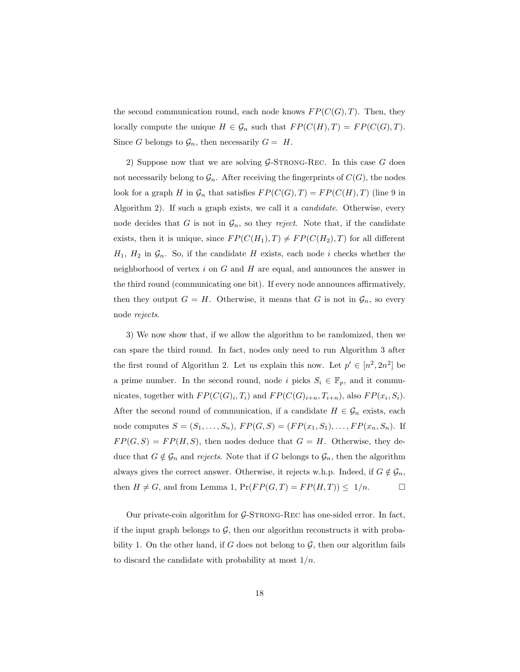the second communication round, each node knows  $FP(C(G), T)$ . Then, they locally compute the unique  $H \in \mathcal{G}_n$  such that  $FP(C(H), T) = FP(C(G), T)$ . Since G belongs to  $\mathcal{G}_n$ , then necessarily  $G = H$ .

2) Suppose now that we are solving  $G$ -STRONG-REC. In this case G does not necessarily belong to  $\mathcal{G}_n$ . After receiving the fingerprints of  $C(G)$ , the nodes look for a graph H in  $\mathcal{G}_n$  that satisfies  $FP(C(G), T) = FP(C(H), T)$  (line 9 in Algorithm 2). If such a graph exists, we call it a *candidate*. Otherwise, every node decides that G is not in  $\mathcal{G}_n$ , so they reject. Note that, if the candidate exists, then it is unique, since  $FP(C(H_1), T) \neq FP(C(H_2), T)$  for all different  $H_1$ ,  $H_2$  in  $\mathcal{G}_n$ . So, if the candidate H exists, each node i checks whether the neighborhood of vertex  $i$  on  $G$  and  $H$  are equal, and announces the answer in the third round (communicating one bit). If every node announces affirmatively, then they output  $G = H$ . Otherwise, it means that G is not in  $\mathcal{G}_n$ , so every node rejects.

3) We now show that, if we allow the algorithm to be randomized, then we can spare the third round. In fact, nodes only need to run Algorithm 3 after the first round of Algorithm 2. Let us explain this now. Let  $p' \in [n^2, 2n^2]$  be a prime number. In the second round, node i picks  $S_i \in \mathbb{F}_p$ , and it communicates, together with  $FP(C(G)_i, T_i)$  and  $FP(C(G)_{i+n}, T_{i+n})$ , also  $FP(x_i, S_i)$ . After the second round of communication, if a candidate  $H \in \mathcal{G}_n$  exists, each node computes  $S = (S_1, ..., S_n)$ ,  $FP(G, S) = (FP(x_1, S_1), ..., FP(x_n, S_n)$ . If  $FP(G, S) = FP(H, S)$ , then nodes deduce that  $G = H$ . Otherwise, they deduce that  $G \notin \mathcal{G}_n$  and *rejects*. Note that if G belongs to  $\mathcal{G}_n$ , then the algorithm always gives the correct answer. Otherwise, it rejects w.h.p. Indeed, if  $G \notin \mathcal{G}_n$ , then  $H \neq G$ , and from Lemma 1,  $Pr(FP(G, T) = FP(H, T)) \leq 1/n$ .

Our private-coin algorithm for  $\mathcal{G}\text{-STRONG-REC}$  has one-sided error. In fact, if the input graph belongs to  $\mathcal{G}$ , then our algorithm reconstructs it with probability 1. On the other hand, if G does not belong to  $G$ , then our algorithm fails to discard the candidate with probability at most  $1/n$ .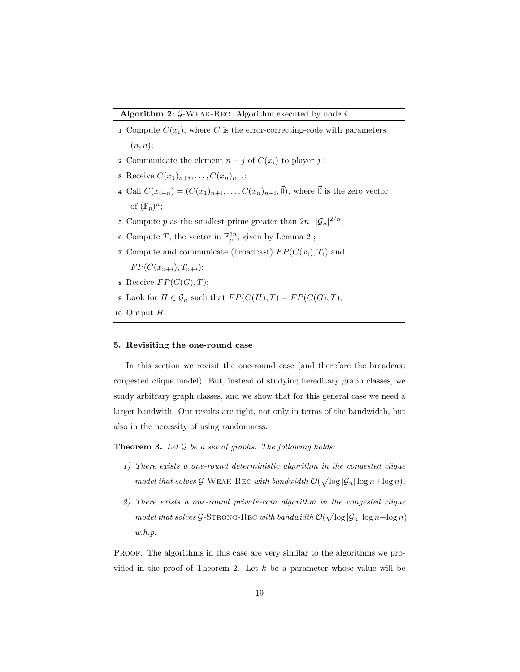- 1 Compute  $C(x_i)$ , where C is the error-correcting-code with parameters  $(n, n);$
- 2 Communicate the element  $n + j$  of  $C(x_i)$  to player j;
- **3** Receive  $C(x_1)_{n+i}, \ldots, C(x_n)_{n+i}$ ;
- 4 Call  $C(x_{i+n}) = (C(x_1)_{n+i}, \ldots, C(x_n)_{n+i}, \vec{0})$ , where  $\vec{0}$  is the zero vector of  $(\mathbb{F}_p)^n$ ;
- 5 Compute p as the smallest prime greater than  $2n \cdot |\mathcal{G}_n|^{2/n}$ ;
- **6** Compute T, the vector in  $\mathbb{F}_p^{2n}$ , given by Lemma 2;
- 7 Compute and communicate (broadcast)  $FP(C(x_i), T_i)$  and

 $FP(C(x_{n+i}), T_{n+i});$ 

- **8** Receive  $FP(C(G), T);$
- 9 Look for  $H \in \mathcal{G}_n$  such that  $FP(C(H), T) = FP(C(G), T);$
- 10 Output  $H$ .

# 5. Revisiting the one-round case

In this section we revisit the one-round case (and therefore the broadcast congested clique model). But, instead of studying hereditary graph classes, we study arbitrary graph classes, and we show that for this general case we need a larger bandwith. Our results are tight, not only in terms of the bandwidth, but also in the necessity of using randomness.

**Theorem 3.** Let  $\mathcal G$  be a set of graphs. The following holds:

- 1) There exists a one-round deterministic algorithm in the congested clique model that solves G-WEAK-REC with bandwidth  $\mathcal{O}(\sqrt{\log |\mathcal{G}_n| \log n} + \log n)$ .
- 2) There exists a one-round private-coin algorithm in the congested clique model that solves G-STRONG-REC with bandwidth  $\mathcal{O}(\sqrt{\log |\mathcal{G}_n| \log n} + \log n)$ w.h.p.

Proof. The algorithms in this case are very similar to the algorithms we provided in the proof of Theorem 2. Let  $k$  be a parameter whose value will be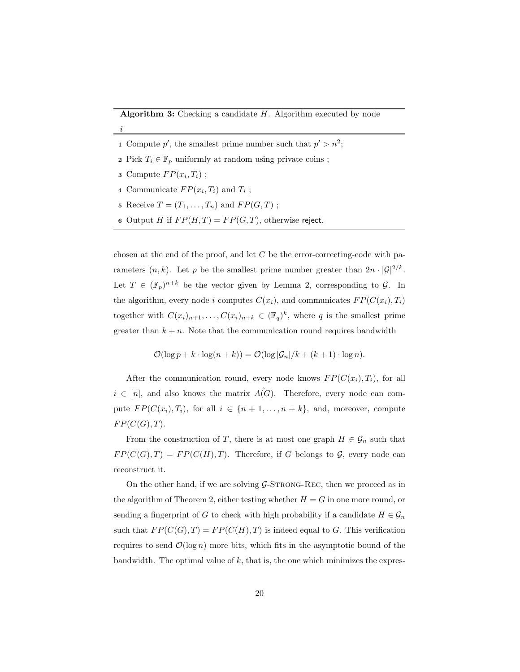#### **Algorithm 3:** Checking a candidate  $H$ . Algorithm executed by node

- 1 Compute p', the smallest prime number such that  $p' > n^2$ ;
- 2 Pick  $T_i \in \mathbb{F}_p$  uniformly at random using private coins;
- **3** Compute  $FP(x_i, T_i)$ ;

i

- 4 Communicate  $FP(x_i, T_i)$  and  $T_i$ ;
- 5 Receive  $T = (T_1, \ldots, T_n)$  and  $FP(G, T)$ ;
- 6 Output H if  $FP(H, T) = FP(G, T)$ , otherwise reject.

chosen at the end of the proof, and let  $C$  be the error-correcting-code with parameters  $(n, k)$ . Let p be the smallest prime number greater than  $2n \cdot |\mathcal{G}|^{2/k}$ . Let  $T \in (\mathbb{F}_p)^{n+k}$  be the vector given by Lemma 2, corresponding to  $\mathcal{G}$ . In the algorithm, every node i computes  $C(x_i)$ , and communicates  $FP(C(x_i), T_i)$ together with  $C(x_i)_{n+1}, \ldots, C(x_i)_{n+k} \in (\mathbb{F}_q)^k$ , where q is the smallest prime greater than  $k + n$ . Note that the communication round requires bandwidth

$$
\mathcal{O}(\log p + k \cdot \log(n + k)) = \mathcal{O}(\log |\mathcal{G}_n|/k + (k+1) \cdot \log n).
$$

After the communication round, every node knows  $FP(C(x_i), T_i)$ , for all  $i \in [n]$ , and also knows the matrix  $\tilde{A(G)}$ . Therefore, every node can compute  $FP(C(x_i), T_i)$ , for all  $i \in \{n+1, \ldots, n+k\}$ , and, moreover, compute  $FP(C(G), T)$ .

From the construction of T, there is at most one graph  $H \in \mathcal{G}_n$  such that  $FP(C(G), T) = FP(C(H), T)$ . Therefore, if G belongs to G, every node can reconstruct it.

On the other hand, if we are solving  $G$ -STRONG-REC, then we proceed as in the algorithm of Theorem 2, either testing whether  $H = G$  in one more round, or sending a fingerprint of G to check with high probability if a candidate  $H \in \mathcal{G}_n$ such that  $FP(C(G), T) = FP(C(H), T)$  is indeed equal to G. This verification requires to send  $\mathcal{O}(\log n)$  more bits, which fits in the asymptotic bound of the bandwidth. The optimal value of  $k$ , that is, the one which minimizes the expres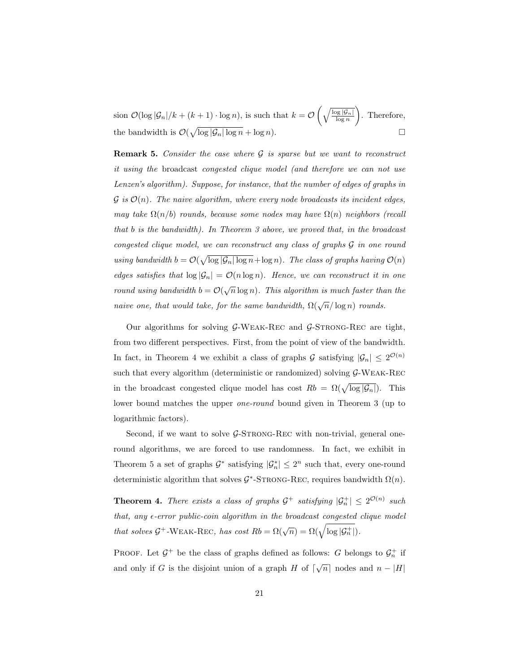sion  $\mathcal{O}(\log |\mathcal{G}_n|/k + (k+1) \cdot \log n)$ , is such that  $k = \mathcal{O}\left(\sqrt{\frac{\log |\mathcal{G}_n|}{\log n}}\right)$  . Therefore, the bandwidth is  $\mathcal{O}(\sqrt{\log |\mathcal{G}_n| \log n} + \log n)$ .

**Remark 5.** Consider the case where  $\mathcal G$  is sparse but we want to reconstruct it using the broadcast congested clique model (and therefore we can not use Lenzen's algorithm). Suppose, for instance, that the number of edges of graphs in  $\mathcal G$  is  $\mathcal O(n)$ . The naive algorithm, where every node broadcasts its incident edges, may take  $\Omega(n/b)$  rounds, because some nodes may have  $\Omega(n)$  neighbors (recall that b is the bandwidth). In Theorem 3 above, we proved that, in the broadcast congested clique model, we can reconstruct any class of graphs G in one round using bandwidth  $b = \mathcal{O}(\sqrt{\log |\mathcal{G}_n| \log n} + \log n)$ . The class of graphs having  $\mathcal{O}(n)$ edges satisfies that  $\log |\mathcal{G}_n| = \mathcal{O}(n \log n)$ . Hence, we can reconstruct it in one round using bandwidth  $b = \mathcal{O}(\sqrt{n}\log n)$ . This algorithm is much faster than the naive one, that would take, for the same bandwidth,  $\Omega(\sqrt{n}/\log n)$  rounds.

Our algorithms for solving  $G-WEAK-REC$  and  $G-STRONG-REC$  are tight, from two different perspectives. First, from the point of view of the bandwidth. In fact, in Theorem 4 we exhibit a class of graphs  $\mathcal G$  satisfying  $|\mathcal G_n| \leq 2^{\mathcal O(n)}$ such that every algorithm (deterministic or randomized) solving  $\mathcal{G}\text{-}\text{W}\text{EAK-}\text{Rec}$ in the broadcast congested clique model has cost  $Rb = \Omega(\sqrt{\log |\mathcal{G}_n|})$ . This lower bound matches the upper one-round bound given in Theorem 3 (up to logarithmic factors).

Second, if we want to solve  $\mathcal{G}\text{-STRONG-REC}$  with non-trivial, general oneround algorithms, we are forced to use randomness. In fact, we exhibit in Theorem 5 a set of graphs  $\mathcal{G}^*$  satisfying  $|\mathcal{G}_n^*| \leq 2^n$  such that, every one-round deterministic algorithm that solves  $G^*$ -STRONG-REC, requires bandwidth  $\Omega(n)$ .

**Theorem 4.** There exists a class of graphs  $\mathcal{G}^+$  satisfying  $|\mathcal{G}_n^+| \leq 2^{\mathcal{O}(n)}$  such that, any  $\epsilon$ -error public-coin algorithm in the broadcast congested clique model that solves  $\mathcal{G}^+$ -WEAK-REC, has cost  $Rb = \Omega(\sqrt{n}) = \Omega(\sqrt{\log |\mathcal{G}_n^+|}).$ 

PROOF. Let  $\mathcal{G}^+$  be the class of graphs defined as follows: G belongs to  $\mathcal{G}_n^+$  if and only if G is the disjoint union of a graph H of  $\lceil \sqrt{n} \rceil$  nodes and  $n - |H|$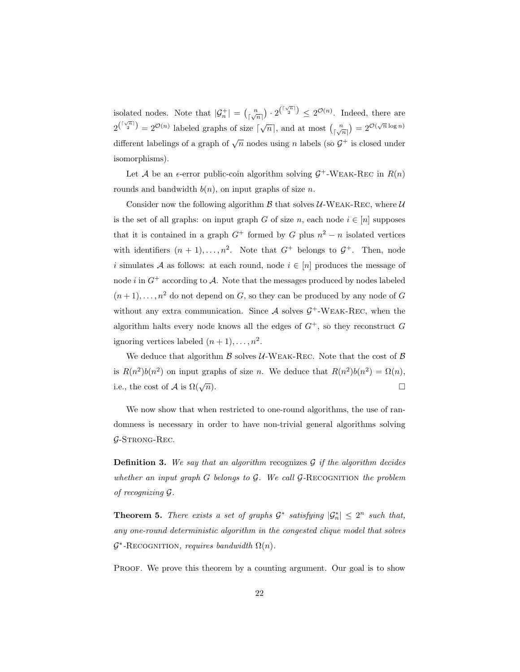isolated nodes. Note that  $|\mathcal{G}_n^+| = \binom{n}{\lfloor \sqrt{n} \rfloor} \cdot 2^{\binom{\lceil \sqrt{n} \rceil}{2}} \leq 2^{\mathcal{O}(n)}$ . Indeed, there are  $2^{\binom{\lceil \sqrt{n} \rceil}{2}} = 2^{\mathcal{O}(n)}$  labeled graphs of size  $\lceil \sqrt{n} \rceil$ , and at most  $\binom{n}{\lceil \sqrt{n} \rceil} = 2^{\mathcal{O}(\sqrt{n}\log n)}$ different labelings of a graph of  $\sqrt{n}$  nodes using n labels (so  $\mathcal{G}^+$  is closed under isomorphisms).

Let A be an  $\epsilon$ -error public-coin algorithm solving  $\mathcal{G}^+$ -WEAK-REC in  $R(n)$ rounds and bandwidth  $b(n)$ , on input graphs of size n.

Consider now the following algorithm  $\beta$  that solves  $\mathcal{U}\text{-}\mathbf{W}\text{-}\mathbf{A}\mathbf{K}\text{-}\mathbf{R}\text{-}\mathbf{C}$ , where  $\mathcal{U}$ is the set of all graphs: on input graph G of size n, each node  $i \in [n]$  supposes that it is contained in a graph  $G^+$  formed by G plus  $n^2 - n$  isolated vertices with identifiers  $(n + 1), \ldots, n^2$ . Note that  $G^+$  belongs to  $G^+$ . Then, node i simulates A as follows: at each round, node  $i \in [n]$  produces the message of node i in  $G^+$  according to A. Note that the messages produced by nodes labeled  $(n+1), \ldots, n^2$  do not depend on G, so they can be produced by any node of G without any extra communication. Since  $A$  solves  $G^+$ -WEAK-REC, when the algorithm halts every node knows all the edges of  $G^+$ , so they reconstruct G ignoring vertices labeled  $(n+1), \ldots, n^2$ .

We deduce that algorithm  $\beta$  solves U-WEAK-REC. Note that the cost of  $\beta$ is  $R(n^2)b(n^2)$  on input graphs of size *n*. We deduce that  $R(n^2)b(n^2) = \Omega(n)$ , i.e., the cost of A is  $\Omega(\sqrt{n})$ .  $\overline{n}$ ).

We now show that when restricted to one-round algorithms, the use of randomness is necessary in order to have non-trivial general algorithms solving  $G$ -Strong-Rec.

**Definition 3.** We say that an algorithm recognizes  $G$  if the algorithm decides whether an input graph  $G$  belongs to  $G$ . We call  $G$ -RECOGNITION the problem of recognizing G.

**Theorem 5.** There exists a set of graphs  $\mathcal{G}^*$  satisfying  $|\mathcal{G}^*_n| \leq 2^n$  such that, any one-round deterministic algorithm in the congested clique model that solves  $\mathcal{G}^*$ -RECOGNITION, requires bandwidth  $\Omega(n)$ .

PROOF. We prove this theorem by a counting argument. Our goal is to show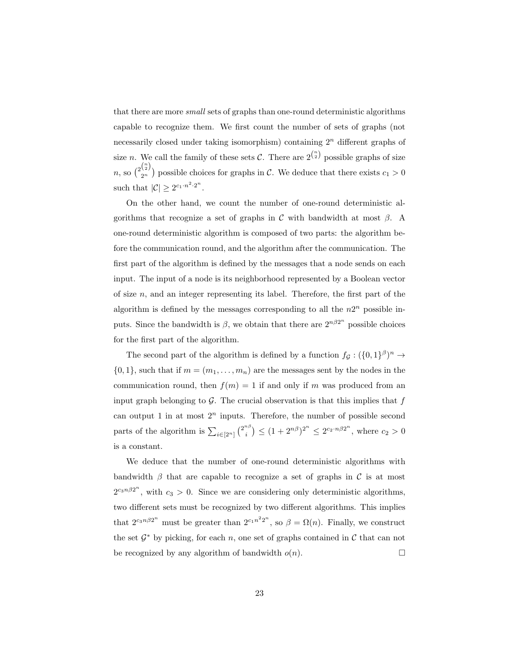that there are more small sets of graphs than one-round deterministic algorithms capable to recognize them. We first count the number of sets of graphs (not necessarily closed under taking isomorphism) containing  $2<sup>n</sup>$  different graphs of size *n*. We call the family of these sets C. There are  $2^{n \choose 2}$  possible graphs of size  $n,$  so  $\binom{2\binom{n}{2}}{2n}$  $2n \choose 2n}$  possible choices for graphs in C. We deduce that there exists  $c_1 > 0$ such that  $|\mathcal{C}| \geq 2^{c_1 \cdot n^2 \cdot 2^n}$ .

On the other hand, we count the number of one-round deterministic algorithms that recognize a set of graphs in C with bandwidth at most  $\beta$ . A one-round deterministic algorithm is composed of two parts: the algorithm before the communication round, and the algorithm after the communication. The first part of the algorithm is defined by the messages that a node sends on each input. The input of a node is its neighborhood represented by a Boolean vector of size  $n$ , and an integer representing its label. Therefore, the first part of the algorithm is defined by the messages corresponding to all the  $n2^n$  possible inputs. Since the bandwidth is  $\beta$ , we obtain that there are  $2^{n\beta 2^n}$  possible choices for the first part of the algorithm.

The second part of the algorithm is defined by a function  $f_{\mathcal{G}}: (\{0,1\}^{\beta})^n \to$  $\{0,1\}$ , such that if  $m = (m_1, \ldots, m_n)$  are the messages sent by the nodes in the communication round, then  $f(m) = 1$  if and only if m was produced from an input graph belonging to  $G$ . The crucial observation is that this implies that  $f$ can output 1 in at most  $2^n$  inputs. Therefore, the number of possible second parts of the algorithm is  $\sum_{i \in [2^n]} \binom{2^{n\beta}}{i}$  $\binom{n\beta}{i} \le (1+2^{n\beta})^{2^n} \le 2^{c_2 \cdot n\beta 2^n}$ , where  $c_2 > 0$ is a constant.

We deduce that the number of one-round deterministic algorithms with bandwidth  $\beta$  that are capable to recognize a set of graphs in C is at most  $2^{c_3 n \beta 2^n}$ , with  $c_3 > 0$ . Since we are considering only deterministic algorithms, two different sets must be recognized by two different algorithms. This implies that  $2^{c_3 n \beta 2^n}$  must be greater than  $2^{c_1 n^2 2^n}$ , so  $\beta = \Omega(n)$ . Finally, we construct the set  $\mathcal{G}^*$  by picking, for each n, one set of graphs contained in  $\mathcal{C}$  that can not be recognized by any algorithm of bandwidth  $o(n)$ .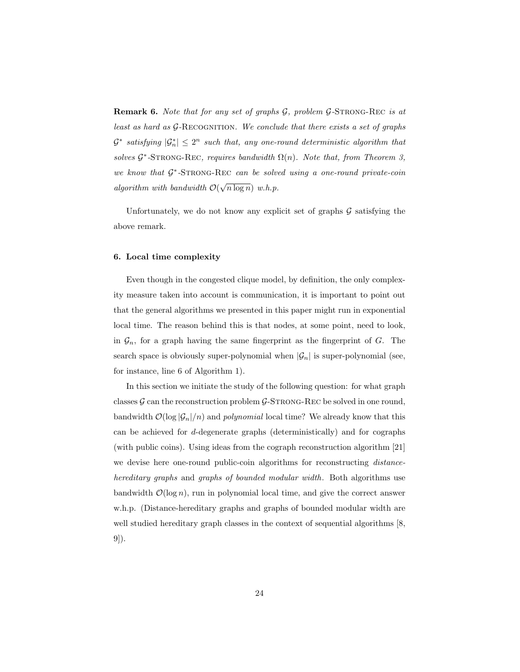**Remark 6.** Note that for any set of graphs  $G$ , problem  $G$ -STRONG-REC is at least as hard as  $G$ -RECOGNITION. We conclude that there exists a set of graphs  $\mathcal{G}^*$  satisfying  $|\mathcal{G}^*_n| \leq 2^n$  such that, any one-round deterministic algorithm that solves  $\mathcal{G}^*$ -STRONG-REC, requires bandwidth  $\Omega(n)$ . Note that, from Theorem 3, we know that  $G^*$ -STRONG-REC can be solved using a one-round private-coin algorithm with bandwidth  $\mathcal{O}(\sqrt{n \log n})$  w.h.p.

Unfortunately, we do not know any explicit set of graphs  $\mathcal G$  satisfying the above remark.

# 6. Local time complexity

Even though in the congested clique model, by definition, the only complexity measure taken into account is communication, it is important to point out that the general algorithms we presented in this paper might run in exponential local time. The reason behind this is that nodes, at some point, need to look, in  $\mathcal{G}_n$ , for a graph having the same fingerprint as the fingerprint of  $G$ . The search space is obviously super-polynomial when  $|\mathcal{G}_n|$  is super-polynomial (see, for instance, line 6 of Algorithm 1).

In this section we initiate the study of the following question: for what graph classes  $\mathcal G$  can the reconstruction problem  $\mathcal G$ -STRONG-REC be solved in one round, bandwidth  $\mathcal{O}(\log |\mathcal{G}_n|/n)$  and *polynomial* local time? We already know that this can be achieved for d-degenerate graphs (deterministically) and for cographs (with public coins). Using ideas from the cograph reconstruction algorithm [21] we devise here one-round public-coin algorithms for reconstructing *distance*hereditary graphs and graphs of bounded modular width. Both algorithms use bandwidth  $\mathcal{O}(\log n)$ , run in polynomial local time, and give the correct answer w.h.p. (Distance-hereditary graphs and graphs of bounded modular width are well studied hereditary graph classes in the context of sequential algorithms  $|8$ , 9]).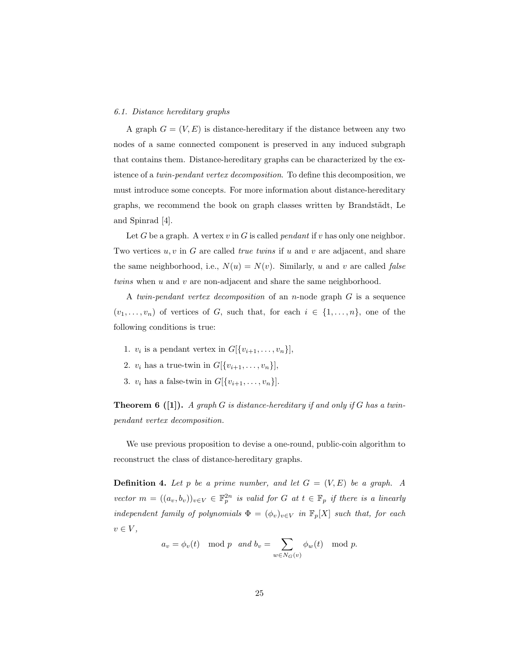#### 6.1. Distance hereditary graphs

A graph  $G = (V, E)$  is distance-hereditary if the distance between any two nodes of a same connected component is preserved in any induced subgraph that contains them. Distance-hereditary graphs can be characterized by the existence of a twin-pendant vertex decomposition. To define this decomposition, we must introduce some concepts. For more information about distance-hereditary graphs, we recommend the book on graph classes written by Brandstädt, Le and Spinrad [4].

Let G be a graph. A vertex v in G is called *pendant* if v has only one neighbor. Two vertices  $u, v$  in  $G$  are called *true twins* if  $u$  and  $v$  are adjacent, and share the same neighborhood, i.e.,  $N(u) = N(v)$ . Similarly, u and v are called false twins when u and v are non-adjacent and share the same neighborhood.

A twin-pendant vertex decomposition of an n-node graph G is a sequence  $(v_1, \ldots, v_n)$  of vertices of G, such that, for each  $i \in \{1, \ldots, n\}$ , one of the following conditions is true:

- 1.  $v_i$  is a pendant vertex in  $G[\{v_{i+1}, \ldots, v_n\}],$
- 2.  $v_i$  has a true-twin in  $G[\{v_{i+1}, \ldots, v_n\}],$
- 3.  $v_i$  has a false-twin in  $G[\{v_{i+1}, \ldots, v_n\}].$

**Theorem 6** ([1]). A graph G is distance-hereditary if and only if G has a twinpendant vertex decomposition.

We use previous proposition to devise a one-round, public-coin algorithm to reconstruct the class of distance-hereditary graphs.

**Definition 4.** Let p be a prime number, and let  $G = (V, E)$  be a graph. A vector  $m = ((a_v, b_v))_{v \in V} \in \mathbb{F}_p^{2n}$  is valid for G at  $t \in \mathbb{F}_p$  if there is a linearly independent family of polynomials  $\Phi = (\phi_v)_{v \in V}$  in  $\mathbb{F}_p[X]$  such that, for each  $v \in V$ ,

$$
a_v = \phi_v(t) \mod p
$$
 and  $b_v = \sum_{w \in N_G(v)} \phi_w(t) \mod p$ .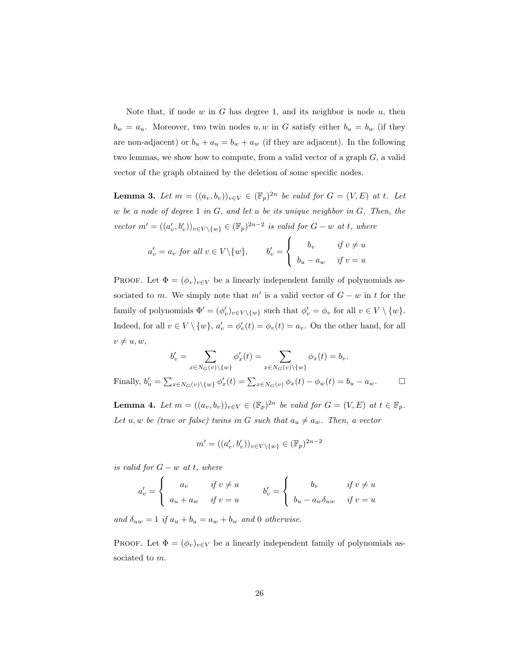Note that, if node  $w$  in  $G$  has degree 1, and its neighbor is node  $u$ , then  $b_w = a_u$ . Moreover, two twin nodes u, w in G satisfy either  $b_u = b_w$  (if they are non-adjacent) or  $b_u + a_u = b_w + a_w$  (if they are adjacent). In the following two lemmas, we show how to compute, from a valid vector of a graph G, a valid vector of the graph obtained by the deletion of some specific nodes.

**Lemma 3.** Let  $m = ((a_v, b_v))_{v \in V} \in (\mathbb{F}_p)^{2n}$  be valid for  $G = (V, E)$  at t. Let w be a node of degree  $1$  in  $G$ , and let u be its unique neighbor in  $G$ . Then, the vector  $m' = ((a'_v, b'_v))_{v \in V \setminus \{w\}} \in (\mathbb{F}_p)^{2n-2}$  is valid for  $G - w$  at t, where

$$
a'_{v} = a_{v} \text{ for all } v \in V \setminus \{w\}, \qquad b'_{v} = \begin{cases} b_{v} & \text{if } v \neq u \\ b_{u} - a_{w} & \text{if } v = u \end{cases}
$$

PROOF. Let  $\Phi = (\phi_v)_{v \in V}$  be a linearly independent family of polynomials associated to m. We simply note that m' is a valid vector of  $G - w$  in t for the family of polynomials  $\Phi' = (\phi'_v)_{v \in V \setminus \{w\}}$  such that  $\phi'_v = \phi_v$  for all  $v \in V \setminus \{w\}.$ Indeed, for all  $v \in V \setminus \{w\}$ ,  $a'_v = \phi'_v(t) = \phi_v(t) = a_v$ . On the other hand, for all  $v \neq u, w,$ 

$$
b'_{v} = \sum_{x \in N_G(v) \setminus \{w\}} \phi'_{x}(t) = \sum_{x \in N_G(v) \setminus \{w\}} \phi_{x}(t) = b_{v}.
$$
  
Finally, 
$$
b'_{u} = \sum_{x \in N_G(v) \setminus \{w\}} \phi'_{x}(t) = \sum_{x \in N_G(v)} \phi_{x}(t) - \phi_{w}(t) = b_{u} - a_{w}.
$$

**Lemma 4.** Let  $m = ((a_v, b_v))_{v \in V} \in (\mathbb{F}_p)^{2n}$  be valid for  $G = (V, E)$  at  $t \in \mathbb{F}_p$ . Let u, w be (true or false) twins in G such that  $a_u \neq a_w$ . Then, a vector

$$
m' = ((a'_v, b'_v))_{v \in V \setminus \{w\}} \in (\mathbb{F}_p)^{2n-2}
$$

is valid for  $G - w$  at t, where

$$
a'_{v} = \begin{cases} a_{v} & \text{if } v \neq u \\ a_{u} + a_{w} & \text{if } v = u \end{cases} \qquad b'_{v} = \begin{cases} b_{v} & \text{if } v \neq u \\ b_{u} - a_{w} \delta_{uw} & \text{if } v = u \end{cases}
$$

and  $\delta_{uw} = 1$  if  $a_u + b_u = a_w + b_w$  and 0 otherwise.

PROOF. Let  $\Phi = (\phi_v)_{v \in V}$  be a linearly independent family of polynomials associated to  $m$ .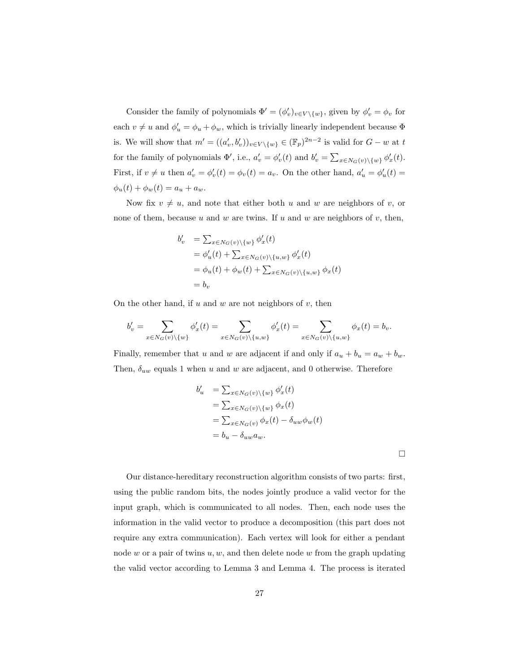Consider the family of polynomials  $\Phi' = (\phi'_v)_{v \in V \setminus \{w\}}$ , given by  $\phi'_v = \phi_v$  for each  $v \neq u$  and  $\phi'_u = \phi_u + \phi_w$ , which is trivially linearly independent because  $\Phi$ is. We will show that  $m' = ((a'_v, b'_v))_{v \in V \setminus \{w\}} \in (\mathbb{F}_p)^{2n-2}$  is valid for  $G - w$  at t for the family of polynomials  $\Phi'$ , i.e.,  $a'_v = \phi'_v(t)$  and  $b'_v = \sum_{x \in N_G(v) \setminus \{w\}} \phi'_x(t)$ . First, if  $v \neq u$  then  $a'_v = \phi'_v(t) = \phi_v(t) = a_v$ . On the other hand,  $a'_u = \phi'_u(t) = a_v$ .  $\phi_u(t) + \phi_w(t) = a_u + a_w.$ 

Now fix  $v \neq u$ , and note that either both u and w are neighbors of v, or none of them, because  $u$  and  $w$  are twins. If  $u$  and  $w$  are neighbors of  $v$ , then,

$$
b'_{v} = \sum_{x \in N_G(v) \setminus \{w\}} \phi'_{x}(t)
$$
  
=  $\phi'_{u}(t) + \sum_{x \in N_G(v) \setminus \{u, w\}} \phi'_{x}(t)$   
=  $\phi_{u}(t) + \phi_{w}(t) + \sum_{x \in N_G(v) \setminus \{u, w\}} \phi_{x}(t)$   
=  $b_{v}$ 

On the other hand, if  $u$  and  $w$  are not neighbors of  $v$ , then

$$
b_v'=\sum_{x\in N_G(v)\backslash\{w\}}\phi_x'(t)=\sum_{x\in N_G(v)\backslash\{u,w\}}\phi_x'(t)=\sum_{x\in N_G(v)\backslash\{u,w\}}\phi_x(t)=b_v.
$$

Finally, remember that u and w are adjacent if and only if  $a_u + b_u = a_w + b_w$ . Then,  $\delta_{uw}$  equals 1 when u and w are adjacent, and 0 otherwise. Therefore

$$
b'_u = \sum_{x \in N_G(v) \setminus \{w\}} \phi'_x(t)
$$
  
= 
$$
\sum_{x \in N_G(v) \setminus \{w\}} \phi_x(t)
$$
  
= 
$$
\sum_{x \in N_G(v)} \phi_x(t) - \delta_{uw} \phi_w(t)
$$
  
= 
$$
b_u - \delta_{uw} a_w.
$$

 $\Box$ 

Our distance-hereditary reconstruction algorithm consists of two parts: first, using the public random bits, the nodes jointly produce a valid vector for the input graph, which is communicated to all nodes. Then, each node uses the information in the valid vector to produce a decomposition (this part does not require any extra communication). Each vertex will look for either a pendant node w or a pair of twins  $u, w$ , and then delete node w from the graph updating the valid vector according to Lemma 3 and Lemma 4. The process is iterated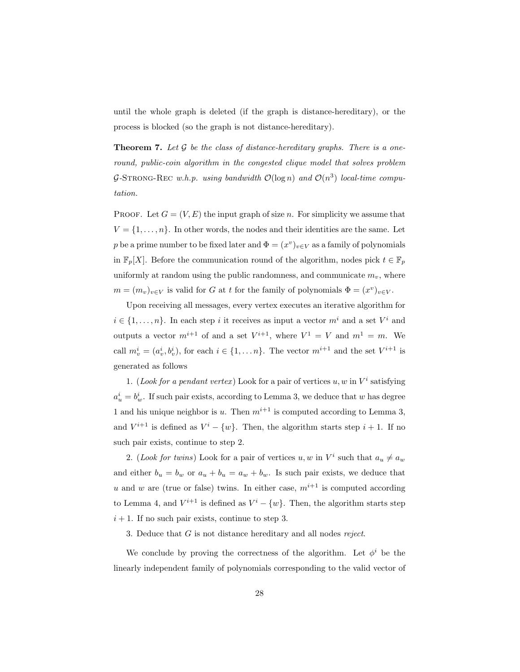until the whole graph is deleted (if the graph is distance-hereditary), or the process is blocked (so the graph is not distance-hereditary).

**Theorem 7.** Let  $G$  be the class of distance-hereditary graphs. There is a oneround, public-coin algorithm in the congested clique model that solves problem G-STRONG-REC w.h.p. using bandwidth  $\mathcal{O}(\log n)$  and  $\mathcal{O}(n^3)$  local-time computation.

PROOF. Let  $G = (V, E)$  the input graph of size n. For simplicity we assume that  $V = \{1, \ldots, n\}$ . In other words, the nodes and their identities are the same. Let p be a prime number to be fixed later and  $\Phi = (x^v)_{v \in V}$  as a family of polynomials in  $\mathbb{F}_p[X]$ . Before the communication round of the algorithm, nodes pick  $t \in \mathbb{F}_p$ uniformly at random using the public randomness, and communicate  $m<sub>v</sub>$ , where  $m = (m_v)_{v \in V}$  is valid for G at t for the family of polynomials  $\Phi = (x^v)_{v \in V}$ .

Upon receiving all messages, every vertex executes an iterative algorithm for  $i \in \{1, \ldots, n\}$ . In each step i it receives as input a vector  $m^i$  and a set  $V^i$  and outputs a vector  $m^{i+1}$  of and a set  $V^{i+1}$ , where  $V^1 = V$  and  $m^1 = m$ . We call  $m_v^i = (a_v^i, b_v^i)$ , for each  $i \in \{1, ..., n\}$ . The vector  $m^{i+1}$  and the set  $V^{i+1}$  is generated as follows

1. (Look for a pendant vertex) Look for a pair of vertices  $u, w$  in  $V^i$  satisfying  $a_u^i = b_w^i$ . If such pair exists, according to Lemma 3, we deduce that w has degree 1 and his unique neighbor is u. Then  $m^{i+1}$  is computed according to Lemma 3, and  $V^{i+1}$  is defined as  $V^i - \{w\}$ . Then, the algorithm starts step  $i + 1$ . If no such pair exists, continue to step 2.

2. (Look for twins) Look for a pair of vertices u, w in  $V^i$  such that  $a_u \neq a_w$ and either  $b_u = b_w$  or  $a_u + b_u = a_w + b_w$ . Is such pair exists, we deduce that u and w are (true or false) twins. In either case,  $m^{i+1}$  is computed according to Lemma 4, and  $V^{i+1}$  is defined as  $V^i - \{w\}$ . Then, the algorithm starts step  $i + 1$ . If no such pair exists, continue to step 3.

3. Deduce that G is not distance hereditary and all nodes reject.

We conclude by proving the correctness of the algorithm. Let  $\phi^i$  be the linearly independent family of polynomials corresponding to the valid vector of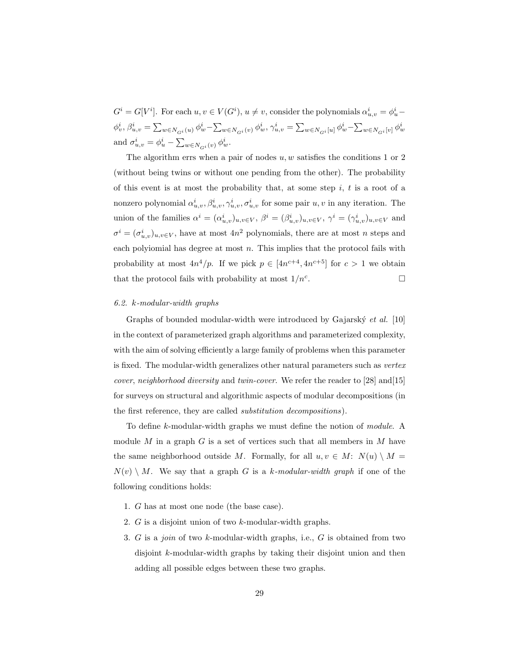$G^i = G[V^i]$ . For each  $u, v \in V(G^i)$ ,  $u \neq v$ , consider the polynomials  $\alpha^i_{u,v} = \phi^i_u \phi_{v}^{i},\beta_{u,v}^{i}=\sum_{w\in N_{G^{i}}(u)}\phi_{w}^{i}-\sum_{w\in N_{G^{i}}(v)}\phi_{w}^{i},\gamma_{u,v}^{i}=\sum_{w\in N_{G^{i}}[u]}\phi_{w}^{i}-\sum_{w\in N_{G^{i}}[v]}\phi_{w}^{i}$ and  $\sigma_{u,v}^i = \phi_u^i - \sum_{w \in N_{G}^i(v)} \phi_w^i$ .

The algorithm errs when a pair of nodes  $u, w$  satisfies the conditions 1 or 2 (without being twins or without one pending from the other). The probability of this event is at most the probability that, at some step  $i, t$  is a root of a nonzero polynomial  $\alpha^i_{u,v}, \beta^i_{u,v}, \gamma^i_{u,v}, \sigma^i_{u,v}$  for some pair  $u, v$  in any iteration. The union of the families  $\alpha^i = (\alpha^i_{u,v})_{u,v \in V}, \ \beta^i = (\beta^i_{u,v})_{u,v \in V}, \ \gamma^i = (\gamma^i_{u,v})_{u,v \in V}$  and  $\sigma^i = (\sigma^i_{u,v})_{u,v \in V}$ , have at most  $4n^2$  polynomials, there are at most n steps and each polyiomial has degree at most  $n$ . This implies that the protocol fails with probability at most  $4n^4/p$ . If we pick  $p \in [4n^{c+4}, 4n^{c+5}]$  for  $c > 1$  we obtain that the protocol fails with probability at most  $1/n<sup>c</sup>$ . . — Первый процесс в постановки программа в серверном становки производительно становки производите с производ<br>В серверном становки производительно становки производительно становки производительно становки производительн

#### 6.2. k-modular-width graphs

Graphs of bounded modular-width were introduced by Gajarský  $et \ al.$  [10] in the context of parameterized graph algorithms and parameterized complexity, with the aim of solving efficiently a large family of problems when this parameter is fixed. The modular-width generalizes other natural parameters such as vertex *cover, neighborhood diversity* and *twin-cover*. We refer the reader to [28] and [15] for surveys on structural and algorithmic aspects of modular decompositions (in the first reference, they are called substitution decompositions).

To define k-modular-width graphs we must define the notion of module. A module M in a graph  $G$  is a set of vertices such that all members in M have the same neighborhood outside M. Formally, for all  $u, v \in M: N(u) \setminus M =$  $N(v) \setminus M$ . We say that a graph G is a k-modular-width graph if one of the following conditions holds:

- 1. G has at most one node (the base case).
- 2. G is a disjoint union of two k-modular-width graphs.
- 3. G is a join of two k-modular-width graphs, i.e., G is obtained from two disjoint k-modular-width graphs by taking their disjoint union and then adding all possible edges between these two graphs.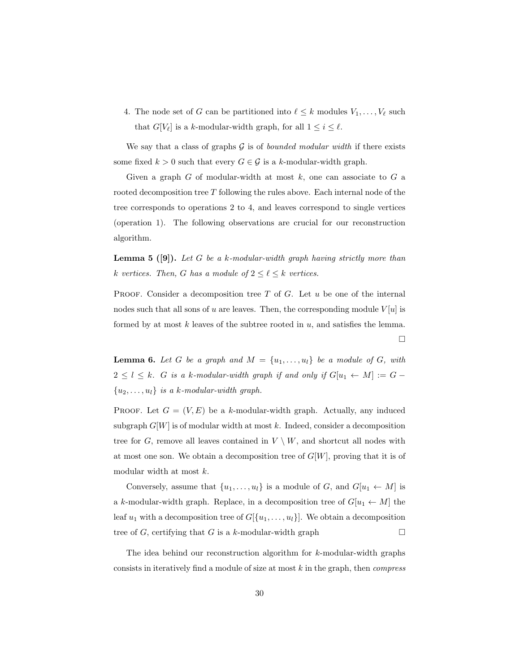4. The node set of G can be partitioned into  $\ell \leq k$  modules  $V_1, \ldots, V_\ell$  such that  $G[V_\ell]$  is a k-modular-width graph, for all  $1 \leq i \leq \ell$ .

We say that a class of graphs  $G$  is of *bounded modular width* if there exists some fixed  $k > 0$  such that every  $G \in \mathcal{G}$  is a k-modular-width graph.

Given a graph  $G$  of modular-width at most  $k$ , one can associate to  $G$  a rooted decomposition tree  $T$  following the rules above. Each internal node of the tree corresponds to operations 2 to 4, and leaves correspond to single vertices (operation 1). The following observations are crucial for our reconstruction algorithm.

**Lemma 5 ([9]).** Let G be a k-modular-width graph having strictly more than k vertices. Then, G has a module of  $2 \leq \ell \leq k$  vertices.

PROOF. Consider a decomposition tree  $T$  of  $G$ . Let  $u$  be one of the internal nodes such that all sons of u are leaves. Then, the corresponding module  $V[u]$  is formed by at most k leaves of the subtree rooted in  $u$ , and satisfies the lemma.  $\Box$ 

**Lemma 6.** Let G be a graph and  $M = \{u_1, \ldots, u_l\}$  be a module of G, with  $2 \leq l \leq k$ . G is a k-modular-width graph if and only if  $G[u_1 \leftarrow M] := G {u_2, \ldots, u_l}$  is a k-modular-width graph.

PROOF. Let  $G = (V, E)$  be a k-modular-width graph. Actually, any induced subgraph  $G[W]$  is of modular width at most k. Indeed, consider a decomposition tree for G, remove all leaves contained in  $V \setminus W$ , and shortcut all nodes with at most one son. We obtain a decomposition tree of  $G[W]$ , proving that it is of modular width at most k.

Conversely, assume that  $\{u_1, \ldots, u_l\}$  is a module of G, and  $G[u_1 \leftarrow M]$  is a k-modular-width graph. Replace, in a decomposition tree of  $G[u_1 \leftarrow M]$  the leaf  $u_1$  with a decomposition tree of  $G[\{u_1, \ldots, u_l\}]$ . We obtain a decomposition tree of  $G$ , certifying that  $G$  is a k-modular-width graph

The idea behind our reconstruction algorithm for k-modular-width graphs consists in iteratively find a module of size at most  $k$  in the graph, then *compress*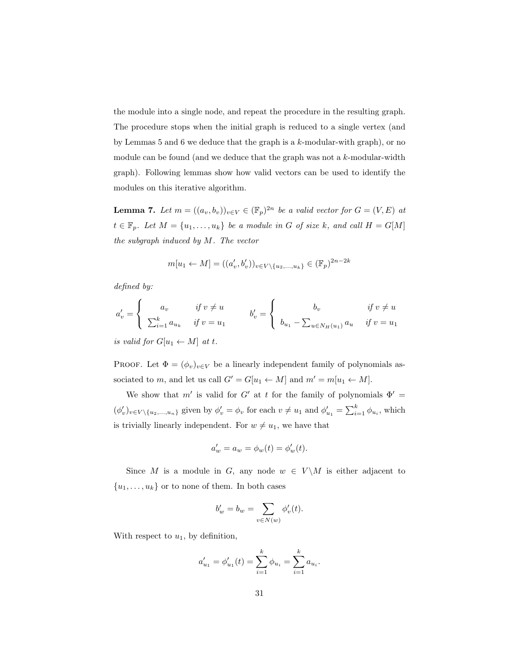the module into a single node, and repeat the procedure in the resulting graph. The procedure stops when the initial graph is reduced to a single vertex (and by Lemmas 5 and 6 we deduce that the graph is a k-modular-with graph), or no module can be found (and we deduce that the graph was not a k-modular-width graph). Following lemmas show how valid vectors can be used to identify the modules on this iterative algorithm.

**Lemma 7.** Let  $m = ((a_v, b_v))_{v \in V} \in (\mathbb{F}_p)^{2n}$  be a valid vector for  $G = (V, E)$  at  $t \in \mathbb{F}_p$ . Let  $M = \{u_1, \ldots, u_k\}$  be a module in G of size k, and call  $H = G[M]$ the subgraph induced by M. The vector

$$
m[u_1 \leftarrow M] = ((a'_v, b'_v))_{v \in V \setminus \{u_2, \dots, u_k\}} \in (\mathbb{F}_p)^{2n-2k}
$$

defined by:

$$
a'_{v} = \begin{cases} a_{v} & \text{if } v \neq u \\ \sum_{i=1}^{k} a_{u_{k}} & \text{if } v = u_{1} \end{cases} \qquad b'_{v} = \begin{cases} b_{v} & \text{if } v \neq u \\ b_{u_{1}} - \sum_{u \in N_{H}(u_{1})} a_{u} & \text{if } v = u_{1} \end{cases}
$$

is valid for  $G[u_1 \leftarrow M]$  at t.

PROOF. Let  $\Phi = (\phi_v)_{v \in V}$  be a linearly independent family of polynomials associated to m, and let us call  $G' = G[u_1 \leftarrow M]$  and  $m' = m[u_1 \leftarrow M]$ .

We show that m' is valid for G' at t for the family of polynomials  $\Phi' =$  $(\phi'_v)_{v \in V \setminus \{u_2,...,u_n\}}$  given by  $\phi'_v = \phi_v$  for each  $v \neq u_1$  and  $\phi'_{u_1} = \sum_{i=1}^k \phi_{u_i}$ , which is trivially linearly independent. For  $w \neq u_1$ , we have that

$$
a_w' = a_w = \phi_w(t) = \phi_w'(t).
$$

Since M is a module in G, any node  $w \in V \backslash M$  is either adjacent to  ${u_1, \ldots, u_k}$  or to none of them. In both cases

$$
b'_w = b_w = \sum_{v \in N(w)} \phi'_v(t).
$$

With respect to  $u_1$ , by definition,

$$
a'_{u_1} = \phi'_{u_1}(t) = \sum_{i=1}^k \phi_{u_i} = \sum_{i=1}^k a_{u_i}.
$$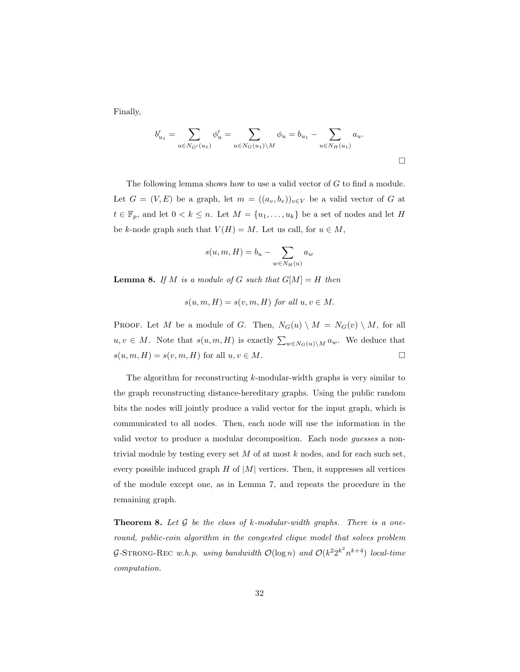Finally,

$$
b'_{u_1} = \sum_{u \in N_{G'}(u_1)} \phi'_u = \sum_{u \in N_G(u_1) \setminus M} \phi_u = b_{u_1} - \sum_{u \in N_H(u_1)} a_u.
$$

The following lemma shows how to use a valid vector of G to find a module. Let  $G = (V, E)$  be a graph, let  $m = ((a_v, b_v))_{v \in V}$  be a valid vector of G at  $t \in \mathbb{F}_p$ , and let  $0 < k \leq n$ . Let  $M = \{u_1, \ldots, u_k\}$  be a set of nodes and let H be k-node graph such that  $V(H) = M$ . Let us call, for  $u \in M$ ,

$$
s(u,m,H) = b_u - \sum_{w \in N_H(u)} a_w
$$

**Lemma 8.** If M is a module of G such that  $G[M] = H$  then

$$
s(u, m, H) = s(v, m, H)
$$
 for all  $u, v \in M$ .

PROOF. Let M be a module of G. Then,  $N_G(u) \setminus M = N_G(v) \setminus M$ , for all  $u, v \in M$ . Note that  $s(u, m, H)$  is exactly  $\sum_{w \in N_G(u) \setminus M} a_w$ . We deduce that  $s(u, m, H) = s(v, m, H)$  for all  $u, v \in M$ .

The algorithm for reconstructing k-modular-width graphs is very similar to the graph reconstructing distance-hereditary graphs. Using the public random bits the nodes will jointly produce a valid vector for the input graph, which is communicated to all nodes. Then, each node will use the information in the valid vector to produce a modular decomposition. Each node guesses a nontrivial module by testing every set  $M$  of at most  $k$  nodes, and for each such set, every possible induced graph  $H$  of  $|M|$  vertices. Then, it suppresses all vertices of the module except one, as in Lemma 7, and repeats the procedure in the remaining graph.

**Theorem 8.** Let  $G$  be the class of  $k$ -modular-width graphs. There is a oneround, public-coin algorithm in the congested clique model that solves problem G-STRONG-REC w.h.p. using bandwidth  $\mathcal{O}(\log n)$  and  $\mathcal{O}(k^2 2^{k^2} n^{k+4})$  local-time computation.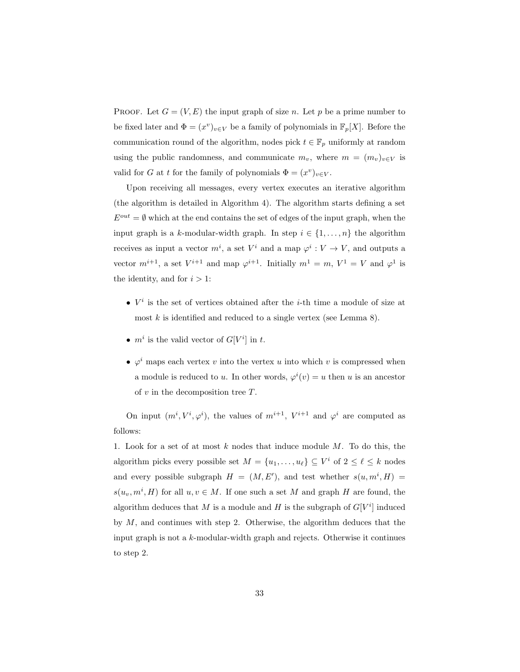PROOF. Let  $G = (V, E)$  the input graph of size n. Let p be a prime number to be fixed later and  $\Phi = (x^v)_{v \in V}$  be a family of polynomials in  $\mathbb{F}_p[X]$ . Before the communication round of the algorithm, nodes pick  $t \in \mathbb{F}_p$  uniformly at random using the public randomness, and communicate  $m_v$ , where  $m = (m_v)_{v \in V}$  is valid for G at t for the family of polynomials  $\Phi = (x^v)_{v \in V}$ .

Upon receiving all messages, every vertex executes an iterative algorithm (the algorithm is detailed in Algorithm 4). The algorithm starts defining a set  $E^{out} = \emptyset$  which at the end contains the set of edges of the input graph, when the input graph is a k-modular-width graph. In step  $i \in \{1, \ldots, n\}$  the algorithm receives as input a vector  $m^i$ , a set  $V^i$  and a map  $\varphi^i: V \to V$ , and outputs a vector  $m^{i+1}$ , a set  $V^{i+1}$  and map  $\varphi^{i+1}$ . Initially  $m^1 = m$ ,  $V^1 = V$  and  $\varphi^1$  is the identity, and for  $i > 1$ :

- $V^i$  is the set of vertices obtained after the *i*-th time a module of size at most  $k$  is identified and reduced to a single vertex (see Lemma 8).
- $m^i$  is the valid vector of  $G[V^i]$  in t.
- $\varphi^i$  maps each vertex v into the vertex u into which v is compressed when a module is reduced to u. In other words,  $\varphi^{i}(v) = u$  then u is an ancestor of  $v$  in the decomposition tree  $T$ .

On input  $(m^i, V^i, \varphi^i)$ , the values of  $m^{i+1}$ ,  $V^{i+1}$  and  $\varphi^i$  are computed as follows:

1. Look for a set of at most  $k$  nodes that induce module  $M$ . To do this, the algorithm picks every possible set  $M = \{u_1, \ldots, u_\ell\} \subseteq V^i$  of  $2 \leq \ell \leq k$  nodes and every possible subgraph  $H = (M, E')$ , and test whether  $s(u, m^i, H)$  $s(u_v, m^i, H)$  for all  $u, v \in M$ . If one such a set M and graph H are found, the algorithm deduces that M is a module and H is the subgraph of  $G[V^i]$  induced by  $M$ , and continues with step 2. Otherwise, the algorithm deduces that the input graph is not a k-modular-width graph and rejects. Otherwise it continues to step 2.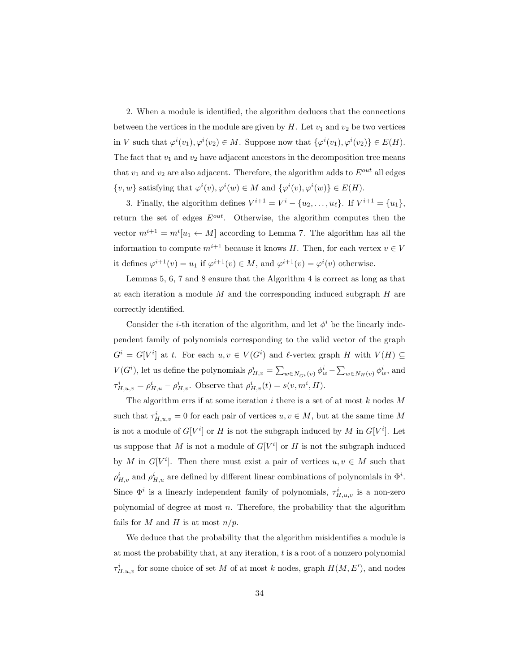2. When a module is identified, the algorithm deduces that the connections between the vertices in the module are given by  $H$ . Let  $v_1$  and  $v_2$  be two vertices in V such that  $\varphi^i(v_1), \varphi^i(v_2) \in M$ . Suppose now that  $\{\varphi^i(v_1), \varphi^i(v_2)\} \in E(H)$ . The fact that  $v_1$  and  $v_2$  have adjacent ancestors in the decomposition tree means that  $v_1$  and  $v_2$  are also adjacent. Therefore, the algorithm adds to  $E^{out}$  all edges  $\{v, w\}$  satisfying that  $\varphi^i(v), \varphi^i(w) \in M$  and  $\{\varphi^i(v), \varphi^i(w)\} \in E(H)$ .

3. Finally, the algorithm defines  $V^{i+1} = V^i - \{u_2, ..., u_\ell\}$ . If  $V^{i+1} = \{u_1\}$ , return the set of edges  $E^{out}$ . Otherwise, the algorithm computes then the vector  $m^{i+1} = m^i[u_1 \leftarrow M]$  according to Lemma 7. The algorithm has all the information to compute  $m^{i+1}$  because it knows H. Then, for each vertex  $v \in V$ it defines  $\varphi^{i+1}(v) = u_1$  if  $\varphi^{i+1}(v) \in M$ , and  $\varphi^{i+1}(v) = \varphi^i(v)$  otherwise.

Lemmas 5, 6, 7 and 8 ensure that the Algorithm 4 is correct as long as that at each iteration a module  $M$  and the corresponding induced subgraph  $H$  are correctly identified.

Consider the *i*-th iteration of the algorithm, and let  $\phi^i$  be the linearly independent family of polynomials corresponding to the valid vector of the graph  $G^i = G[V^i]$  at t. For each  $u, v \in V(G^i)$  and  $\ell$ -vertex graph H with  $V(H) \subseteq$  $V(G^i)$ , let us define the polynomials  $\rho^i_{H,v} = \sum_{w \in N_{G^i}(v)} \phi^i_w - \sum_{w \in N_H(v)} \phi^i_w$ , and  $\tau_{H,u,v}^{i} = \rho_{H,u}^{i} - \rho_{H,v}^{i}$ . Observe that  $\rho_{H,v}^{i}(t) = s(v, m^{i}, H)$ .

The algorithm errs if at some iteration  $i$  there is a set of at most  $k$  nodes  $M$ such that  $\tau_{H,u,v}^i = 0$  for each pair of vertices  $u, v \in M$ , but at the same time M is not a module of  $G[V^i]$  or H is not the subgraph induced by M in  $G[V^i]$ . Let us suppose that M is not a module of  $G[V^i]$  or H is not the subgraph induced by M in  $G[V^i]$ . Then there must exist a pair of vertices  $u, v \in M$  such that  $\rho_{H,v}^i$  and  $\rho_{H,u}^i$  are defined by different linear combinations of polynomials in  $\Phi^i$ . Since  $\Phi^i$  is a linearly independent family of polynomials,  $\tau^i_{H,u,v}$  is a non-zero polynomial of degree at most  $n$ . Therefore, the probability that the algorithm fails for M and H is at most  $n/p$ .

We deduce that the probability that the algorithm misidentifies a module is at most the probability that, at any iteration, t is a root of a nonzero polynomial  $\tau^i_{H,u,v}$  for some choice of set M of at most k nodes, graph  $H(M, E'),$  and nodes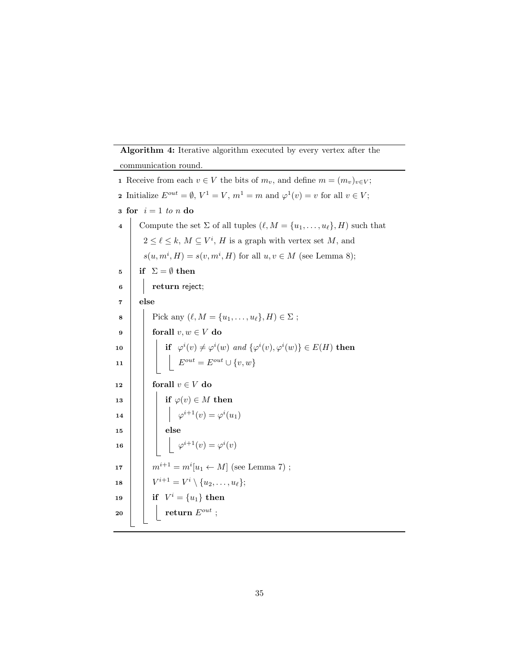# Algorithm 4: Iterative algorithm executed by every vertex after the

communication round.

1 Receive from each  $v \in V$  the bits of  $m_v$ , and define  $m = (m_v)_{v \in V}$ ; **2** Initialize  $E^{out} = \emptyset$ ,  $V^1 = V$ ,  $m^1 = m$  and  $\varphi^1(v) = v$  for all  $v \in V$ ; 3 for  $i = 1$  to n do 4 Compute the set  $\Sigma$  of all tuples  $(\ell, M = \{u_1, \ldots, u_\ell\}, H)$  such that  $2 \leq \ell \leq k$ ,  $M \subseteq V^i$ , H is a graph with vertex set M, and  $s(u, m^i, H) = s(v, m^i, H)$  for all  $u, v \in M$  (see Lemma 8); 5 if  $\Sigma = \emptyset$  then 6 **return** reject; 7 else 8 Pick any  $(\ell, M = \{u_1, \ldots, u_\ell\}, H) \in \Sigma$ ; 9 forall  $v, w \in V$  do 10 if  $\varphi^i(v) \neq \varphi^i(w)$  and  $\{\varphi^i(v), \varphi^i(w)\} \in E(H)$  then 11  $\Big|\Big|$   $E^{out} = E^{out} \cup \{v,w\}$ 12 forall  $v \in V$  do 13 if  $\varphi(v) \in M$  then 14  $\phi^{i+1}(v) = \varphi^i(u_1)$  $15$  else 16  $\Box$   $\varphi^{i+1}(v) = \varphi^{i}(v)$ 17 |  $m^{i+1} = m^{i}[u_1 \leftarrow M]$  (see Lemma 7);  $\begin{array}{|c|c|} \hline \textbf{18} & & V^{i+1} = V^i \setminus \{u_2, \ldots, u_\ell\}; \hline \end{array}$  $\begin{array}{|c|c|} \hline \textbf{19} & \textbf{19} \end{array} \begin{array}{|c|c|} \hline \textbf{if} & V^i=\{u_1\} \textbf{ then} \end{array}$  $20$  return  $E^{out}$ ;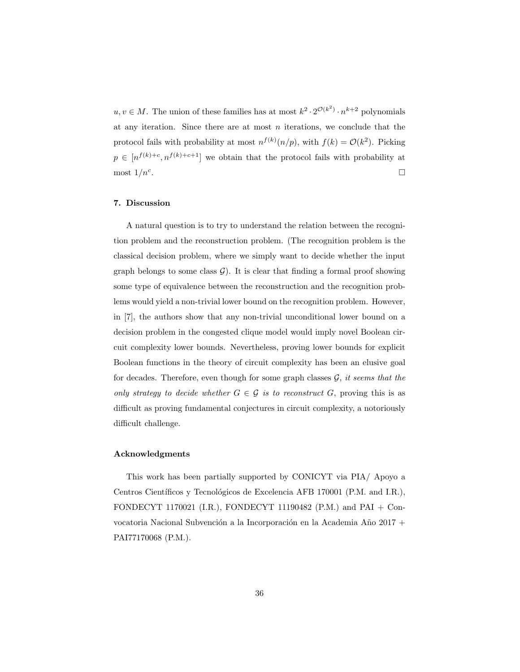$u, v \in M$ . The union of these families has at most  $k^2 \cdot 2^{\mathcal{O}(k^2)} \cdot n^{k+2}$  polynomials at any iteration. Since there are at most  $n$  iterations, we conclude that the protocol fails with probability at most  $n^{f(k)}(n/p)$ , with  $f(k) = \mathcal{O}(k^2)$ . Picking  $p \in [n^{f(k)+c}, n^{f(k)+c+1}]$  we obtain that the protocol fails with probability at most  $1/n^c$ . . В последните последните последните последните последните последните последните последните последните последн<br>В 1990 година от селото на селото на селото на селото на селото на селото на селото на селото на селото на сел

# 7. Discussion

A natural question is to try to understand the relation between the recognition problem and the reconstruction problem. (The recognition problem is the classical decision problem, where we simply want to decide whether the input graph belongs to some class  $\mathcal{G}$ ). It is clear that finding a formal proof showing some type of equivalence between the reconstruction and the recognition problems would yield a non-trivial lower bound on the recognition problem. However, in [7], the authors show that any non-trivial unconditional lower bound on a decision problem in the congested clique model would imply novel Boolean circuit complexity lower bounds. Nevertheless, proving lower bounds for explicit Boolean functions in the theory of circuit complexity has been an elusive goal for decades. Therefore, even though for some graph classes  $G$ , it seems that the only strategy to decide whether  $G \in \mathcal{G}$  is to reconstruct G, proving this is as difficult as proving fundamental conjectures in circuit complexity, a notoriously difficult challenge.

# Acknowledgments

This work has been partially supported by CONICYT via PIA/ Apoyo a Centros Científicos y Tecnológicos de Excelencia AFB 170001 (P.M. and I.R.), FONDECYT 1170021 (I.R.), FONDECYT 11190482 (P.M.) and PAI + Convocatoria Nacional Subvención a la Incorporación en la Academia Año 2017 + PAI77170068 (P.M.).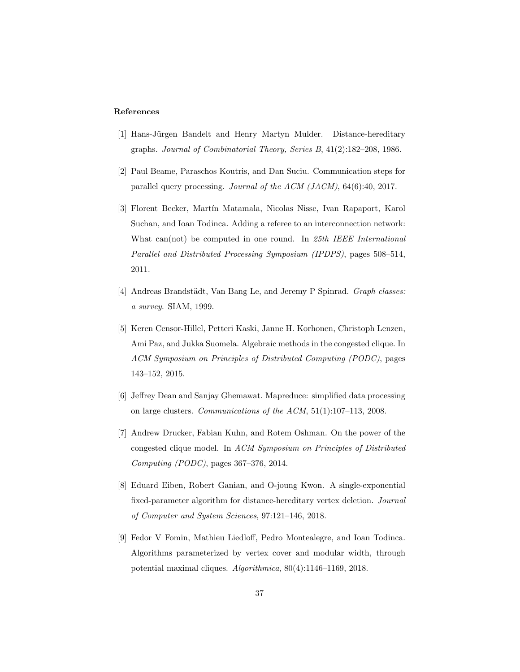#### References

- [1] Hans-Jürgen Bandelt and Henry Martyn Mulder. Distance-hereditary graphs. Journal of Combinatorial Theory, Series B, 41(2):182–208, 1986.
- [2] Paul Beame, Paraschos Koutris, and Dan Suciu. Communication steps for parallel query processing. Journal of the ACM (JACM), 64(6):40, 2017.
- [3] Florent Becker, Mart´ın Matamala, Nicolas Nisse, Ivan Rapaport, Karol Suchan, and Ioan Todinca. Adding a referee to an interconnection network: What can(not) be computed in one round. In 25th IEEE International Parallel and Distributed Processing Symposium (IPDPS), pages 508–514, 2011.
- [4] Andreas Brandstädt, Van Bang Le, and Jeremy P Spinrad. Graph classes: a survey. SIAM, 1999.
- [5] Keren Censor-Hillel, Petteri Kaski, Janne H. Korhonen, Christoph Lenzen, Ami Paz, and Jukka Suomela. Algebraic methods in the congested clique. In ACM Symposium on Principles of Distributed Computing (PODC), pages 143–152, 2015.
- [6] Jeffrey Dean and Sanjay Ghemawat. Mapreduce: simplified data processing on large clusters. Communications of the ACM, 51(1):107–113, 2008.
- [7] Andrew Drucker, Fabian Kuhn, and Rotem Oshman. On the power of the congested clique model. In ACM Symposium on Principles of Distributed Computing (PODC), pages 367–376, 2014.
- [8] Eduard Eiben, Robert Ganian, and O-joung Kwon. A single-exponential fixed-parameter algorithm for distance-hereditary vertex deletion. Journal of Computer and System Sciences, 97:121–146, 2018.
- [9] Fedor V Fomin, Mathieu Liedloff, Pedro Montealegre, and Ioan Todinca. Algorithms parameterized by vertex cover and modular width, through potential maximal cliques. Algorithmica, 80(4):1146–1169, 2018.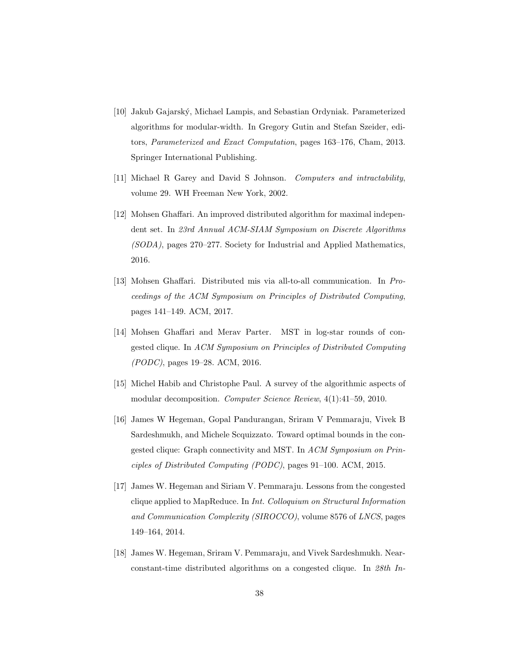- [10] Jakub Gajarský, Michael Lampis, and Sebastian Ordyniak. Parameterized algorithms for modular-width. In Gregory Gutin and Stefan Szeider, editors, Parameterized and Exact Computation, pages 163–176, Cham, 2013. Springer International Publishing.
- [11] Michael R Garey and David S Johnson. Computers and intractability, volume 29. WH Freeman New York, 2002.
- [12] Mohsen Ghaffari. An improved distributed algorithm for maximal independent set. In 23rd Annual ACM-SIAM Symposium on Discrete Algorithms (SODA), pages 270–277. Society for Industrial and Applied Mathematics, 2016.
- [13] Mohsen Ghaffari. Distributed mis via all-to-all communication. In Proceedings of the ACM Symposium on Principles of Distributed Computing, pages 141–149. ACM, 2017.
- [14] Mohsen Ghaffari and Merav Parter. MST in log-star rounds of congested clique. In ACM Symposium on Principles of Distributed Computing (PODC), pages 19–28. ACM, 2016.
- [15] Michel Habib and Christophe Paul. A survey of the algorithmic aspects of modular decomposition. Computer Science Review, 4(1):41–59, 2010.
- [16] James W Hegeman, Gopal Pandurangan, Sriram V Pemmaraju, Vivek B Sardeshmukh, and Michele Scquizzato. Toward optimal bounds in the congested clique: Graph connectivity and MST. In ACM Symposium on Principles of Distributed Computing (PODC), pages 91–100. ACM, 2015.
- [17] James W. Hegeman and Siriam V. Pemmaraju. Lessons from the congested clique applied to MapReduce. In Int. Colloquium on Structural Information and Communication Complexity (SIROCCO), volume 8576 of LNCS, pages 149–164, 2014.
- [18] James W. Hegeman, Sriram V. Pemmaraju, and Vivek Sardeshmukh. Nearconstant-time distributed algorithms on a congested clique. In 28th In-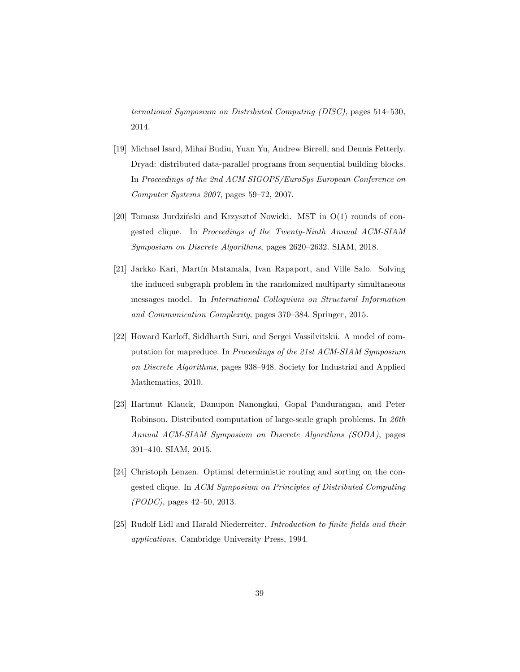ternational Symposium on Distributed Computing (DISC), pages 514–530, 2014.

- [19] Michael Isard, Mihai Budiu, Yuan Yu, Andrew Birrell, and Dennis Fetterly. Dryad: distributed data-parallel programs from sequential building blocks. In Proceedings of the 2nd ACM SIGOPS/EuroSys European Conference on Computer Systems 2007, pages 59–72, 2007.
- [20] Tomasz Jurdziński and Krzysztof Nowicki. MST in  $O(1)$  rounds of congested clique. In Proceedings of the Twenty-Ninth Annual ACM-SIAM Symposium on Discrete Algorithms, pages 2620–2632. SIAM, 2018.
- [21] Jarkko Kari, Martín Matamala, Ivan Rapaport, and Ville Salo. Solving the induced subgraph problem in the randomized multiparty simultaneous messages model. In International Colloquium on Structural Information and Communication Complexity, pages 370–384. Springer, 2015.
- [22] Howard Karloff, Siddharth Suri, and Sergei Vassilvitskii. A model of computation for mapreduce. In Proceedings of the 21st ACM-SIAM Symposium on Discrete Algorithms, pages 938–948. Society for Industrial and Applied Mathematics, 2010.
- [23] Hartmut Klauck, Danupon Nanongkai, Gopal Pandurangan, and Peter Robinson. Distributed computation of large-scale graph problems. In 26th Annual ACM-SIAM Symposium on Discrete Algorithms (SODA), pages 391–410. SIAM, 2015.
- [24] Christoph Lenzen. Optimal deterministic routing and sorting on the congested clique. In ACM Symposium on Principles of Distributed Computing (PODC), pages 42–50, 2013.
- [25] Rudolf Lidl and Harald Niederreiter. Introduction to finite fields and their applications. Cambridge University Press, 1994.